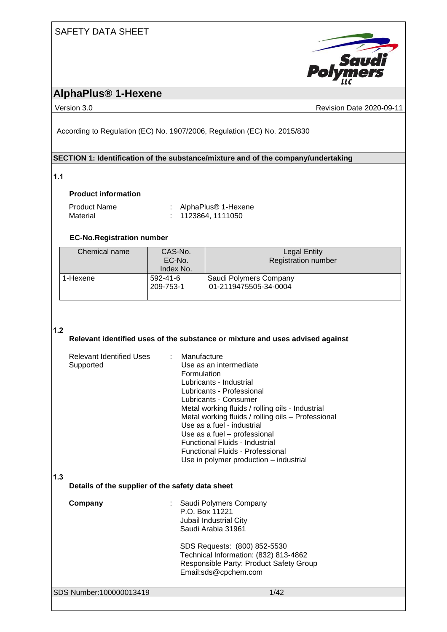### SAFETY DATA SHEET



# **AlphaPlus® 1-Hexene**

Version 3.0 Revision Date 2020-09-11

According to Regulation (EC) No. 1907/2006, Regulation (EC) No. 2015/830

### **SECTION 1: Identification of the substance/mixture and of the company/undertaking**

#### **1.1**

#### **Product information**

| <b>Product Name</b> | : AlphaPlus <sup>®</sup> 1-Hexene |
|---------------------|-----------------------------------|
| Material            | : 1123864, 1111050                |

#### **EC-No.Registration number**

| Chemical name | CAS-No.<br>EC-No.<br>Index No. | <b>Legal Entity</b><br><b>Registration number</b> |
|---------------|--------------------------------|---------------------------------------------------|
| 1-Hexene      | 592-41-6<br>209-753-1          | Saudi Polymers Company<br>01-2119475505-34-0004   |

#### **1.2**

#### **Relevant identified uses of the substance or mixture and uses advised against**

| Relevant Identified Uses<br>Supported                   | : Manufacture<br>Use as an intermediate<br><b>Formulation</b><br>Lubricants - Industrial<br>Lubricants - Professional<br>Lubricants - Consumer<br>Metal working fluids / rolling oils - Industrial<br>Metal working fluids / rolling oils - Professional<br>Use as a fuel - industrial<br>Use as a fuel - professional<br><b>Functional Fluids - Industrial</b><br><b>Functional Fluids - Professional</b><br>Use in polymer production – industrial |
|---------------------------------------------------------|------------------------------------------------------------------------------------------------------------------------------------------------------------------------------------------------------------------------------------------------------------------------------------------------------------------------------------------------------------------------------------------------------------------------------------------------------|
| 1.3<br>Details of the supplier of the safety data sheet |                                                                                                                                                                                                                                                                                                                                                                                                                                                      |
| Company                                                 | : Saudi Polymers Company<br>P.O. Box 11221<br>Jubail Industrial City<br>Saudi Arabia 31961<br>SDS Requests: (800) 852-5530<br>Technical Information: (832) 813-4862<br>Responsible Party: Product Safety Group<br>Email:sds@cpchem.com                                                                                                                                                                                                               |
| SDS Number: 100000013419                                | 1/42                                                                                                                                                                                                                                                                                                                                                                                                                                                 |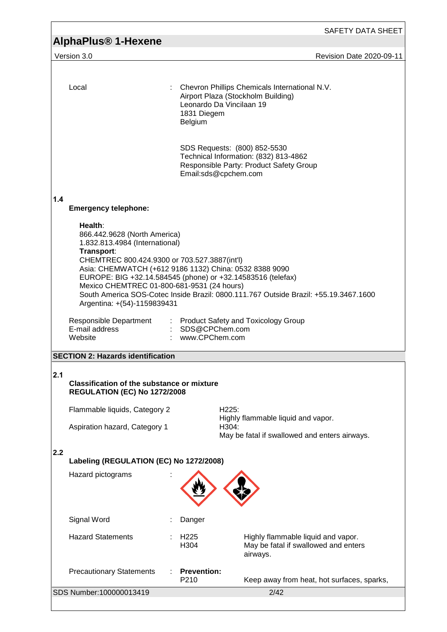|     | AlphaPlus® 1-Hexene                                                                                                                                                                                                                                                                                                                           |                                      | SAFETY DATA SHEET                                                                                                                               |
|-----|-----------------------------------------------------------------------------------------------------------------------------------------------------------------------------------------------------------------------------------------------------------------------------------------------------------------------------------------------|--------------------------------------|-------------------------------------------------------------------------------------------------------------------------------------------------|
|     | Version 3.0                                                                                                                                                                                                                                                                                                                                   |                                      | Revision Date 2020-09-11                                                                                                                        |
|     | Local                                                                                                                                                                                                                                                                                                                                         | 1831 Diegem<br>Belgium               | Chevron Phillips Chemicals International N.V.<br>Airport Plaza (Stockholm Building)<br>Leonardo Da Vincilaan 19<br>SDS Requests: (800) 852-5530 |
| 1.4 |                                                                                                                                                                                                                                                                                                                                               |                                      | Technical Information: (832) 813-4862<br>Responsible Party: Product Safety Group<br>Email:sds@cpchem.com                                        |
|     | <b>Emergency telephone:</b>                                                                                                                                                                                                                                                                                                                   |                                      |                                                                                                                                                 |
|     | Health:<br>866.442.9628 (North America)<br>1.832.813.4984 (International)<br>Transport:<br>CHEMTREC 800.424.9300 or 703.527.3887(int'l)<br>Asia: CHEMWATCH (+612 9186 1132) China: 0532 8388 9090<br>EUROPE: BIG +32.14.584545 (phone) or +32.14583516 (telefax)<br>Mexico CHEMTREC 01-800-681-9531 (24 hours)<br>Argentina: +(54)-1159839431 |                                      | South America SOS-Cotec Inside Brazil: 0800.111.767 Outside Brazil: +55.19.3467.1600                                                            |
|     | Responsible Department<br>E-mail address<br>Website                                                                                                                                                                                                                                                                                           | : SDS@CPChem.com<br>: www.CPChem.com | : Product Safety and Toxicology Group                                                                                                           |
|     | <b>SECTION 2: Hazards identification</b>                                                                                                                                                                                                                                                                                                      |                                      |                                                                                                                                                 |
| 2.1 | <b>Classification of the substance or mixture</b><br><b>REGULATION (EC) No 1272/2008</b>                                                                                                                                                                                                                                                      |                                      |                                                                                                                                                 |
|     | Flammable liquids, Category 2                                                                                                                                                                                                                                                                                                                 |                                      | H225:                                                                                                                                           |
|     | Aspiration hazard, Category 1                                                                                                                                                                                                                                                                                                                 |                                      | Highly flammable liquid and vapor.<br>H304:<br>May be fatal if swallowed and enters airways.                                                    |
| 2.2 | Labeling (REGULATION (EC) No 1272/2008)                                                                                                                                                                                                                                                                                                       |                                      |                                                                                                                                                 |
|     | Hazard pictograms                                                                                                                                                                                                                                                                                                                             |                                      |                                                                                                                                                 |
|     | Signal Word                                                                                                                                                                                                                                                                                                                                   | Danger                               |                                                                                                                                                 |
|     | <b>Hazard Statements</b>                                                                                                                                                                                                                                                                                                                      | H <sub>225</sub><br>H304             | Highly flammable liquid and vapor.<br>May be fatal if swallowed and enters<br>airways.                                                          |
|     | <b>Precautionary Statements</b>                                                                                                                                                                                                                                                                                                               | <b>Prevention:</b><br>P210           | Keep away from heat, hot surfaces, sparks,                                                                                                      |
|     | SDS Number:100000013419                                                                                                                                                                                                                                                                                                                       |                                      | 2/42                                                                                                                                            |
|     |                                                                                                                                                                                                                                                                                                                                               |                                      |                                                                                                                                                 |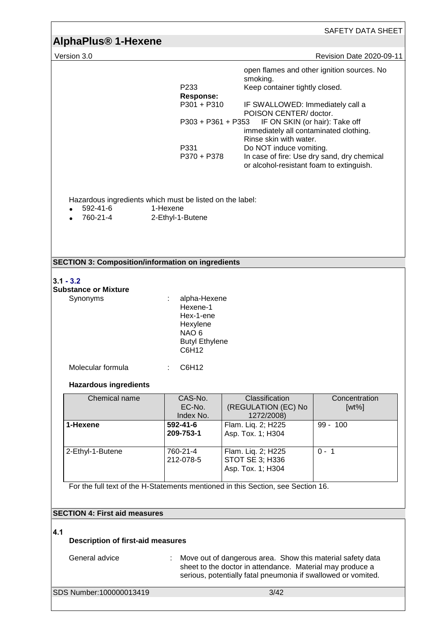| <b>AlphaPlus<sup>®</sup> 1-Hexene</b>                                                                                                        |                                                                                                         |                                                                                                                                                                                                                                                                                      | SAFETY DATA SHEET                                                                         |
|----------------------------------------------------------------------------------------------------------------------------------------------|---------------------------------------------------------------------------------------------------------|--------------------------------------------------------------------------------------------------------------------------------------------------------------------------------------------------------------------------------------------------------------------------------------|-------------------------------------------------------------------------------------------|
| Version 3.0                                                                                                                                  |                                                                                                         |                                                                                                                                                                                                                                                                                      | Revision Date 2020-09-11                                                                  |
|                                                                                                                                              | P233<br>Response:<br>P301 + P310<br>P303 + P361 + P353<br>P331<br>P370 + P378                           | smoking.<br>Keep container tightly closed.<br>IF SWALLOWED: Immediately call a<br>POISON CENTER/doctor.<br>IF ON SKIN (or hair): Take off<br>immediately all contaminated clothing.<br>Rinse skin with water.<br>Do NOT induce vomiting.<br>or alcohol-resistant foam to extinguish. | open flames and other ignition sources. No<br>In case of fire: Use dry sand, dry chemical |
| Hazardous ingredients which must be listed on the label:<br>592-41-6<br>760-21-4<br><b>SECTION 3: Composition/information on ingredients</b> | 1-Hexene<br>2-Ethyl-1-Butene                                                                            |                                                                                                                                                                                                                                                                                      |                                                                                           |
| $3.1 - 3.2$                                                                                                                                  |                                                                                                         |                                                                                                                                                                                                                                                                                      |                                                                                           |
| <b>Substance or Mixture</b>                                                                                                                  |                                                                                                         |                                                                                                                                                                                                                                                                                      |                                                                                           |
| Synonyms                                                                                                                                     | alpha-Hexene<br>Hexene-1<br>Hex-1-ene<br>Hexylene<br>NAO <sub>6</sub><br><b>Butyl Ethylene</b><br>C6H12 |                                                                                                                                                                                                                                                                                      |                                                                                           |
| Molecular formula                                                                                                                            | C6H12                                                                                                   |                                                                                                                                                                                                                                                                                      |                                                                                           |
| <b>Hazardous ingredients</b>                                                                                                                 |                                                                                                         |                                                                                                                                                                                                                                                                                      |                                                                                           |
| Chemical name                                                                                                                                | CAS-No.<br>EC-No.<br>Index No.                                                                          | Classification<br>(REGULATION (EC) No<br>1272/2008)                                                                                                                                                                                                                                  | Concentration<br>$[wt\%]$                                                                 |
| 1-Hexene                                                                                                                                     | 592-41-6<br>209-753-1                                                                                   | Flam. Liq. 2; H225<br>Asp. Tox. 1; H304                                                                                                                                                                                                                                              | $99 - 100$                                                                                |
| 2-Ethyl-1-Butene                                                                                                                             | 760-21-4<br>212-078-5                                                                                   | Flam. Liq. 2; H225<br><b>STOT SE 3; H336</b><br>Asp. Tox. 1; H304                                                                                                                                                                                                                    | $0 - 1$                                                                                   |
|                                                                                                                                              |                                                                                                         | For the full text of the H-Statements mentioned in this Section, see Section 16.                                                                                                                                                                                                     |                                                                                           |
|                                                                                                                                              |                                                                                                         |                                                                                                                                                                                                                                                                                      |                                                                                           |
| <b>SECTION 4: First aid measures</b>                                                                                                         |                                                                                                         |                                                                                                                                                                                                                                                                                      |                                                                                           |
| 4.1<br><b>Description of first-aid measures</b>                                                                                              |                                                                                                         |                                                                                                                                                                                                                                                                                      |                                                                                           |
| General advice                                                                                                                               | ÷.                                                                                                      | Move out of dangerous area. Show this material safety data<br>sheet to the doctor in attendance. Material may produce a<br>serious, potentially fatal pneumonia if swallowed or vomited.                                                                                             |                                                                                           |
| SDS Number:100000013419                                                                                                                      |                                                                                                         | 3/42                                                                                                                                                                                                                                                                                 |                                                                                           |
|                                                                                                                                              |                                                                                                         |                                                                                                                                                                                                                                                                                      |                                                                                           |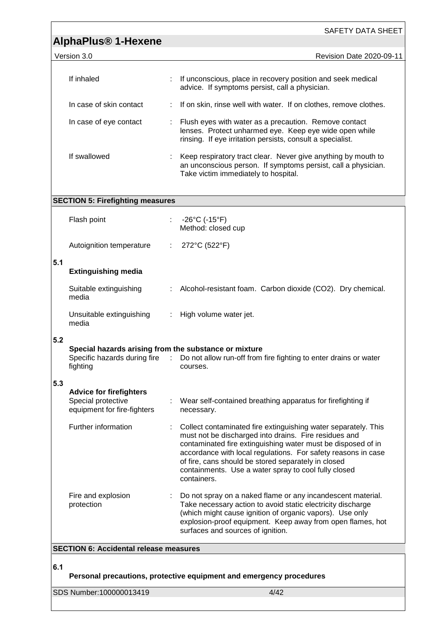|     | <b>AlphaPlus<sup>®</sup> 1-Hexene</b>                                                             |   | SAFETY DATA SHEET                                                                                                                                                                                                                                                                                                                                                                      |
|-----|---------------------------------------------------------------------------------------------------|---|----------------------------------------------------------------------------------------------------------------------------------------------------------------------------------------------------------------------------------------------------------------------------------------------------------------------------------------------------------------------------------------|
|     | Version 3.0                                                                                       |   | <b>Revision Date 2020-09-11</b>                                                                                                                                                                                                                                                                                                                                                        |
|     |                                                                                                   |   |                                                                                                                                                                                                                                                                                                                                                                                        |
|     | If inhaled                                                                                        |   | If unconscious, place in recovery position and seek medical<br>advice. If symptoms persist, call a physician.                                                                                                                                                                                                                                                                          |
|     | In case of skin contact                                                                           | ÷ | If on skin, rinse well with water. If on clothes, remove clothes.                                                                                                                                                                                                                                                                                                                      |
|     | In case of eye contact                                                                            |   | Flush eyes with water as a precaution. Remove contact<br>lenses. Protect unharmed eye. Keep eye wide open while<br>rinsing. If eye irritation persists, consult a specialist.                                                                                                                                                                                                          |
|     | If swallowed                                                                                      |   | Keep respiratory tract clear. Never give anything by mouth to<br>an unconscious person. If symptoms persist, call a physician.<br>Take victim immediately to hospital.                                                                                                                                                                                                                 |
|     |                                                                                                   |   |                                                                                                                                                                                                                                                                                                                                                                                        |
|     | <b>SECTION 5: Firefighting measures</b>                                                           |   |                                                                                                                                                                                                                                                                                                                                                                                        |
|     | Flash point                                                                                       |   | $-26^{\circ}$ C (-15 $^{\circ}$ F)<br>Method: closed cup                                                                                                                                                                                                                                                                                                                               |
|     | Autoignition temperature                                                                          |   | 272°C (522°F)                                                                                                                                                                                                                                                                                                                                                                          |
| 5.1 | <b>Extinguishing media</b>                                                                        |   |                                                                                                                                                                                                                                                                                                                                                                                        |
|     | Suitable extinguishing<br>media                                                                   |   | Alcohol-resistant foam. Carbon dioxide (CO2). Dry chemical.                                                                                                                                                                                                                                                                                                                            |
|     | Unsuitable extinguishing<br>media                                                                 | ÷ | High volume water jet.                                                                                                                                                                                                                                                                                                                                                                 |
| 5.2 |                                                                                                   |   |                                                                                                                                                                                                                                                                                                                                                                                        |
|     | Special hazards arising from the substance or mixture<br>Specific hazards during fire<br>fighting |   | Do not allow run-off from fire fighting to enter drains or water<br>courses.                                                                                                                                                                                                                                                                                                           |
| 5.3 |                                                                                                   |   |                                                                                                                                                                                                                                                                                                                                                                                        |
|     | <b>Advice for firefighters</b><br>Special protective<br>equipment for fire-fighters               |   | Wear self-contained breathing apparatus for firefighting if<br>necessary.                                                                                                                                                                                                                                                                                                              |
|     | Further information                                                                               |   | Collect contaminated fire extinguishing water separately. This<br>must not be discharged into drains. Fire residues and<br>contaminated fire extinguishing water must be disposed of in<br>accordance with local regulations. For safety reasons in case<br>of fire, cans should be stored separately in closed<br>containments. Use a water spray to cool fully closed<br>containers. |
|     | Fire and explosion<br>protection                                                                  |   | Do not spray on a naked flame or any incandescent material.<br>Take necessary action to avoid static electricity discharge                                                                                                                                                                                                                                                             |

Take necessary action to avoid static electricity discharge (which might cause ignition of organic vapors). Use only explosion-proof equipment. Keep away from open flames, hot surfaces and sources of ignition.

#### **SECTION 6: Accidental release measures**

**6.1** 

#### **Personal precautions, protective equipment and emergency procedures**

SDS Number:100000013419 4/42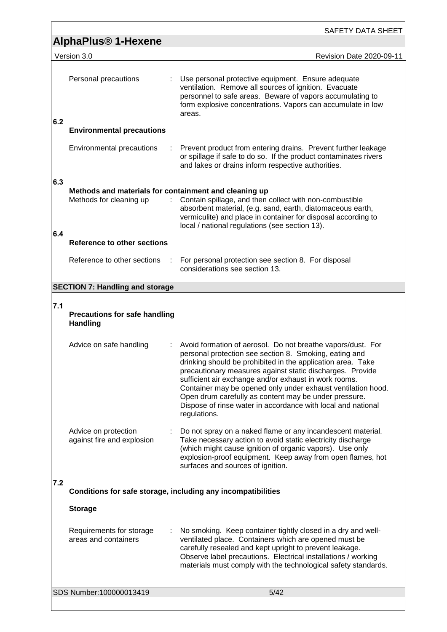|     | <b>AlphaPlus<sup>®</sup> 1-Hexene</b>                                                 | SAFETY DATA SHEET                                                                                                                                                                                                                                                                                                                                                                                                                                                                                                   |
|-----|---------------------------------------------------------------------------------------|---------------------------------------------------------------------------------------------------------------------------------------------------------------------------------------------------------------------------------------------------------------------------------------------------------------------------------------------------------------------------------------------------------------------------------------------------------------------------------------------------------------------|
|     | Version 3.0                                                                           | Revision Date 2020-09-11                                                                                                                                                                                                                                                                                                                                                                                                                                                                                            |
|     | Personal precautions                                                                  | Use personal protective equipment. Ensure adequate<br>ventilation. Remove all sources of ignition. Evacuate<br>personnel to safe areas. Beware of vapors accumulating to<br>form explosive concentrations. Vapors can accumulate in low<br>areas.                                                                                                                                                                                                                                                                   |
| 6.2 | <b>Environmental precautions</b>                                                      |                                                                                                                                                                                                                                                                                                                                                                                                                                                                                                                     |
|     | Environmental precautions                                                             | Prevent product from entering drains. Prevent further leakage<br>or spillage if safe to do so. If the product contaminates rivers<br>and lakes or drains inform respective authorities.                                                                                                                                                                                                                                                                                                                             |
| 6.3 |                                                                                       |                                                                                                                                                                                                                                                                                                                                                                                                                                                                                                                     |
| 6.4 | Methods and materials for containment and cleaning up<br>Methods for cleaning up<br>÷ | Contain spillage, and then collect with non-combustible<br>absorbent material, (e.g. sand, earth, diatomaceous earth,<br>vermiculite) and place in container for disposal according to<br>local / national regulations (see section 13).                                                                                                                                                                                                                                                                            |
|     | <b>Reference to other sections</b>                                                    |                                                                                                                                                                                                                                                                                                                                                                                                                                                                                                                     |
|     | Reference to other sections<br>÷                                                      | For personal protection see section 8. For disposal<br>considerations see section 13.                                                                                                                                                                                                                                                                                                                                                                                                                               |
|     | <b>SECTION 7: Handling and storage</b>                                                |                                                                                                                                                                                                                                                                                                                                                                                                                                                                                                                     |
| 7.1 | <b>Precautions for safe handling</b><br><b>Handling</b>                               |                                                                                                                                                                                                                                                                                                                                                                                                                                                                                                                     |
|     | Advice on safe handling<br>÷                                                          | Avoid formation of aerosol. Do not breathe vapors/dust. For<br>personal protection see section 8. Smoking, eating and<br>drinking should be prohibited in the application area. Take<br>precautionary measures against static discharges. Provide<br>sufficient air exchange and/or exhaust in work rooms.<br>Container may be opened only under exhaust ventilation hood.<br>Open drum carefully as content may be under pressure.<br>Dispose of rinse water in accordance with local and national<br>regulations. |
|     | Advice on protection<br>against fire and explosion                                    | Do not spray on a naked flame or any incandescent material.<br>Take necessary action to avoid static electricity discharge<br>(which might cause ignition of organic vapors). Use only<br>explosion-proof equipment. Keep away from open flames, hot<br>surfaces and sources of ignition.                                                                                                                                                                                                                           |
| 7.2 | Conditions for safe storage, including any incompatibilities                          |                                                                                                                                                                                                                                                                                                                                                                                                                                                                                                                     |
|     | <b>Storage</b>                                                                        |                                                                                                                                                                                                                                                                                                                                                                                                                                                                                                                     |
|     | Requirements for storage<br>areas and containers                                      | No smoking. Keep container tightly closed in a dry and well-<br>ventilated place. Containers which are opened must be<br>carefully resealed and kept upright to prevent leakage.<br>Observe label precautions. Electrical installations / working<br>materials must comply with the technological safety standards.                                                                                                                                                                                                 |
|     | SDS Number:100000013419                                                               | 5/42                                                                                                                                                                                                                                                                                                                                                                                                                                                                                                                |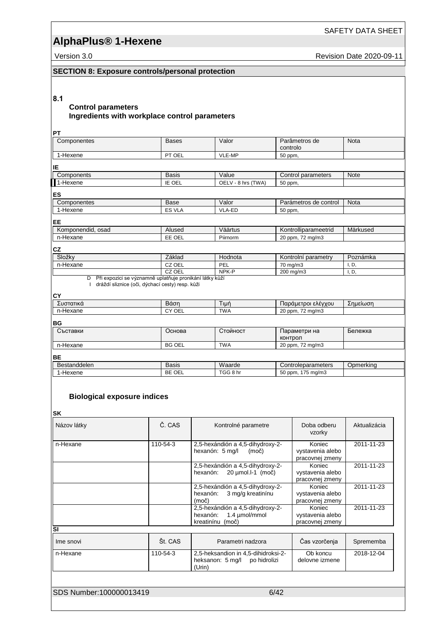#### SAFETY DATA SHEET

# **AlphaPlus® 1-Hexene**

Version 3.0 **Version 3.0** Revision Date 2020-09-11

#### **SECTION 8: Exposure controls/personal protection**

#### **8.1**

#### **Control parameters Ingredients with workplace control parameters**

#### **PT**

| <b>Bases</b>                                      | Valor              | Parâmetros de<br>controlo                                             | <b>Nota</b> |
|---------------------------------------------------|--------------------|-----------------------------------------------------------------------|-------------|
| PT OEL                                            | VLE-MP             | 50 ppm,                                                               |             |
|                                                   |                    |                                                                       |             |
| <b>Basis</b>                                      | Value              | Control parameters                                                    | <b>Note</b> |
| IE OEL                                            | OELV - 8 hrs (TWA) | 50 ppm,                                                               |             |
|                                                   |                    |                                                                       |             |
| <b>Base</b>                                       | Valor              | Parámetros de control                                                 | Nota        |
| <b>ES VLA</b>                                     | VLA-ED             | 50 ppm,                                                               |             |
|                                                   |                    |                                                                       |             |
| Alused                                            | Väärtus            | Kontrolliparameetrid                                                  | Märkused    |
| EE OEL                                            | Piirnorm           | 20 ppm, 72 mg/m3                                                      |             |
|                                                   |                    |                                                                       |             |
| Základ                                            | Hodnota            | Kontrolní parametry                                                   | Poznámka    |
| CZ OEL                                            | PEL                | 70 mg/m3                                                              | I, D,       |
| CZ OEL                                            | $NPK-P$            | 200 mg/m3                                                             | I, D,       |
| I dráždí sliznice (oči, dýchací cesty) resp. kůži |                    |                                                                       |             |
|                                                   |                    |                                                                       |             |
| Βάση                                              | Τιμή               | Παράμετροι ελέγχου                                                    | Σημείωση    |
| <b>CY OEL</b>                                     | <b>TWA</b>         | 20 ppm, 72 mg/m3                                                      |             |
|                                                   |                    |                                                                       |             |
| Основа                                            | Стойност           | Параметри на<br>контрол                                               | Бележка     |
| <b>BG OEL</b>                                     | <b>TWA</b>         | 20 ppm, 72 mg/m3                                                      |             |
|                                                   |                    |                                                                       |             |
| <b>Basis</b>                                      | Waarde             | Controleparameters                                                    | Opmerking   |
| <b>BE OEL</b>                                     |                    | 50 ppm, 175 mg/m3                                                     |             |
|                                                   |                    | D Při expozici se významně uplatňuje pronikání látky kůží<br>TGG 8 hr |             |

### **Biological exposure indices**

**SK**

| on                      |          |                                                                                   |                                               |              |
|-------------------------|----------|-----------------------------------------------------------------------------------|-----------------------------------------------|--------------|
| Názov látky             | Č. CAS   | Kontrolné parametre                                                               | Doba odberu<br>vzorky                         | Aktualizácia |
| n-Hexane                | 110-54-3 | 2,5-hexándión a 4,5-dihydroxy-2-<br>hexanón: 5 mg/l<br>(moč)                      | Koniec<br>vystavenia alebo<br>pracovnej zmeny | 2011-11-23   |
|                         |          | 2,5-hexándión a 4,5-dihydroxy-2-<br>hexanón:<br>20 µmol.l-1 (moč)                 | Koniec<br>vystavenia alebo<br>pracovnej zmeny | 2011-11-23   |
|                         |          | 2,5-hexándión a 4,5-dihydroxy-2-<br>3 mg/g kreatinínu<br>hexanón:<br>(moč)        | Koniec<br>vystavenia alebo<br>pracovnej zmeny | 2011-11-23   |
|                         |          | 2,5-hexándión a 4,5-dihydroxy-2-<br>1.4 µmol/mmol<br>hexanón:<br>kreatinínu (moč) | Koniec<br>vystavenia alebo<br>pracovnej zmeny | 2011-11-23   |
| SI                      |          |                                                                                   |                                               |              |
| Ime snovi               | Št. CAS  | Parametri nadzora                                                                 | Čas vzorčenja                                 | Sprememba    |
| n-Hexane                | 110-54-3 | 2,5-heksandion in 4,5-dihidroksi-2-<br>heksanon: 5 mg/l<br>po hidrolizi<br>(Urin) | Ob koncu<br>delovne izmene                    | 2018-12-04   |
|                         |          |                                                                                   |                                               |              |
| SDS Number:100000013419 |          | 6/42                                                                              |                                               |              |
|                         |          |                                                                                   |                                               |              |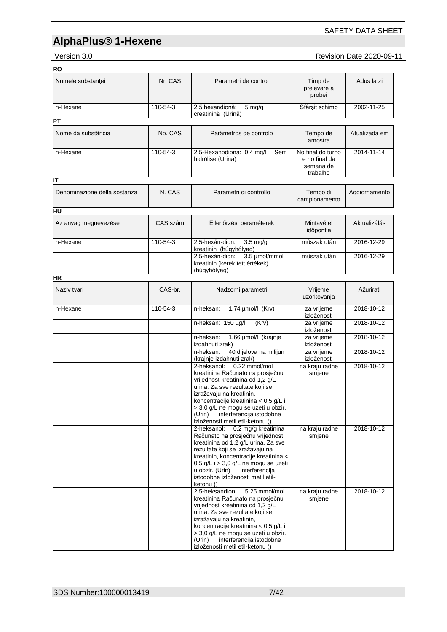#### SAFETY DATA SHEET

Version 3.0 Revision Date 2020-09-11

| Numele substantei            | Nr. CAS  | Parametri de control                                                                                                                                                                                                                                                                                                             | Timp de                                                     | Adus la zi               |
|------------------------------|----------|----------------------------------------------------------------------------------------------------------------------------------------------------------------------------------------------------------------------------------------------------------------------------------------------------------------------------------|-------------------------------------------------------------|--------------------------|
|                              |          |                                                                                                                                                                                                                                                                                                                                  | prelevare a<br>probei                                       |                          |
| n-Hexane                     | 110-54-3 | 2,5 hexandionă:<br>$5 \text{ mg/g}$<br>creatinină (Urină)                                                                                                                                                                                                                                                                        | Sfârșit schimb                                              | 2002-11-25               |
| PT                           |          |                                                                                                                                                                                                                                                                                                                                  |                                                             |                          |
| Nome da substância           | No. CAS  | Parâmetros de controlo                                                                                                                                                                                                                                                                                                           | Tempo de<br>amostra                                         | Atualizada em            |
| n-Hexane                     | 110-54-3 | 2,5-Hexanodiona: 0,4 mg/l<br>Sem<br>hidrólise (Urina)                                                                                                                                                                                                                                                                            | No final do turno<br>e no final da<br>semana de<br>trabalho | 2014-11-14               |
| IΤ                           |          |                                                                                                                                                                                                                                                                                                                                  |                                                             |                          |
| Denominazione della sostanza | N. CAS   | Parametri di controllo                                                                                                                                                                                                                                                                                                           | Tempo di<br>campionamento                                   | Aggiornamento            |
| HU                           |          |                                                                                                                                                                                                                                                                                                                                  |                                                             |                          |
| Az anyag megnevezése         | CAS szám | Ellenőrzési paraméterek                                                                                                                                                                                                                                                                                                          | Mintavétel<br>időpontja                                     | Aktualizálás             |
| n-Hexane                     | 110-54-3 | 2,5-hexán-dion:<br>$3.5 \text{ mg/g}$<br>kreatinin (húgyhólyag)                                                                                                                                                                                                                                                                  | mûszak után                                                 | 2016-12-29               |
|                              |          | 2,5-hexán-dion:<br>3.5 µmol/mmol<br>kreatinin (kerekített értékek)<br>(húgyhólyag)                                                                                                                                                                                                                                               | mûszak után                                                 | 2016-12-29               |
| HR                           |          |                                                                                                                                                                                                                                                                                                                                  |                                                             |                          |
| Naziv tvari                  | CAS-br.  | Nadzorni parametri                                                                                                                                                                                                                                                                                                               | Vrijeme<br>uzorkovanja                                      | Ažurirati                |
| n-Hexane                     | 110-54-3 | 1.74 µmol/l (Krv)<br>n-heksan:                                                                                                                                                                                                                                                                                                   | za vrijeme<br>izloženosti                                   | 2018-10-12               |
|                              |          | n-heksan: 150 µg/l<br>(Krv)                                                                                                                                                                                                                                                                                                      | za vrijeme<br>izloženosti                                   | 2018-10-12               |
|                              |          | 1.66 µmol/l (krajnje<br>n-heksan:<br>izdahnuti zrak)                                                                                                                                                                                                                                                                             | za vrijeme<br>izloženosti                                   | 2018-10-12<br>2018-10-12 |
|                              |          | 40 dijelova na milijun<br>n-heksan:<br>(krajnje izdahnuti zrak)                                                                                                                                                                                                                                                                  | za vrijeme<br>izloženosti                                   |                          |
|                              |          | $0.22$ mmol/mol<br>2-heksanol:<br>kreatinina Računato na prosječnu<br>vrijednost kreatinina od 1,2 g/L<br>urina. Za sve rezultate koji se<br>izražavaju na kreatinin,<br>koncentracije kreatinina < 0,5 g/L i<br>> 3,0 g/L ne mogu se uzeti u obzir.<br>interferencija istodobne<br>(Urin)<br>izloženosti metil etil-ketonu ()   | na kraju radne<br>smjene                                    | 2018-10-12               |
|                              |          | 2-heksanol:<br>0.2 mg/g kreatinina<br>Računato na prosječnu vrijednost<br>kreatinina od 1,2 g/L urina. Za sve<br>rezultate koji se izražavaju na<br>kreatinin, koncentracije kreatinina <<br>0,5 g/L i > 3,0 g/L ne mogu se uzeti<br>u obzir. (Urin)<br>interferencija<br>istodobne izloženosti metil etil-<br>ketonu ()         | na kraju radne<br>smjene                                    | 2018-10-12               |
|                              |          | 2,5-heksandion:<br>5.25 mmol/mol<br>kreatinina Računato na prosječnu<br>vrijednost kreatinina od 1,2 g/L<br>urina. Za sve rezultate koji se<br>izražavaju na kreatinin,<br>koncentracije kreatinina < 0,5 g/L i<br>> 3,0 g/L ne mogu se uzeti u obzir.<br>interferencija istodobne<br>(Urin)<br>izloženosti metil etil-ketonu () | na kraju radne<br>smjene                                    | 2018-10-12               |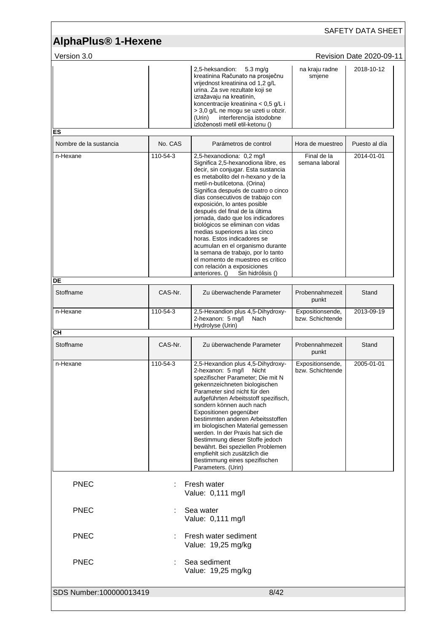| <b>AlphaPlus<sup>®</sup> 1-Hexene</b> |          |                                                                                                                                                                                                                                                                                                                                                                                                                                                                                                                                                                                                                                                          |                                      | SAFETY DATA SHEET        |
|---------------------------------------|----------|----------------------------------------------------------------------------------------------------------------------------------------------------------------------------------------------------------------------------------------------------------------------------------------------------------------------------------------------------------------------------------------------------------------------------------------------------------------------------------------------------------------------------------------------------------------------------------------------------------------------------------------------------------|--------------------------------------|--------------------------|
| Version 3.0                           |          |                                                                                                                                                                                                                                                                                                                                                                                                                                                                                                                                                                                                                                                          |                                      | Revision Date 2020-09-11 |
|                                       |          | 2,5-heksandion:<br>$5.3 \text{ mg/g}$<br>kreatinina Računato na prosječnu<br>vrijednost kreatinina od 1,2 g/L<br>urina. Za sve rezultate koji se<br>izražavaju na kreatinin,<br>koncentracije kreatinina < 0,5 g/L i<br>> 3,0 g/L ne mogu se uzeti u obzir.<br>interferencija istodobne<br>(Urin)<br>izloženosti metil etil-ketonu ()                                                                                                                                                                                                                                                                                                                    | na kraju radne<br>smjene             | 2018-10-12               |
| ES                                    |          |                                                                                                                                                                                                                                                                                                                                                                                                                                                                                                                                                                                                                                                          |                                      |                          |
| Nombre de la sustancia                | No. CAS  | Parámetros de control                                                                                                                                                                                                                                                                                                                                                                                                                                                                                                                                                                                                                                    | Hora de muestreo                     | Puesto al día            |
| n-Hexane                              | 110-54-3 | 2,5-hexanodiona: 0,2 mg/l<br>Significa 2,5-hexanodiona libre, es<br>decir, sin conjugar. Esta sustancia<br>es metabolito del n-hexano y de la<br>metil-n-butilcetona. (Orina)<br>Significa después de cuatro o cinco<br>días consecutivos de trabajo con<br>exposición, lo antes posible<br>después del final de la última<br>jornada, dado que los indicadores<br>biológicos se eliminan con vidas<br>medias superiores a las cinco<br>horas. Estos indicadores se<br>acumulan en el organismo durante<br>la semana de trabajo, por lo tanto<br>el momento de muestreo es crítico<br>con relación a exposiciones<br>anteriores. ()<br>Sin hidrólisis () | Final de la<br>semana laboral        | 2014-01-01               |
| DE                                    |          |                                                                                                                                                                                                                                                                                                                                                                                                                                                                                                                                                                                                                                                          |                                      |                          |
| Stoffname                             | CAS-Nr.  | Zu überwachende Parameter                                                                                                                                                                                                                                                                                                                                                                                                                                                                                                                                                                                                                                | Probennahmezeit<br>punkt             | Stand                    |
| n-Hexane<br><b>CH</b>                 | 110-54-3 | 2,5-Hexandion plus 4,5-Dihydroxy-<br>2-hexanon: 5 mg/l<br>Nach<br>Hydrolyse (Urin)                                                                                                                                                                                                                                                                                                                                                                                                                                                                                                                                                                       | Expositionsende,<br>bzw. Schichtende | 2013-09-19               |
| Stoffname                             | CAS-Nr.  | Zu überwachende Parameter                                                                                                                                                                                                                                                                                                                                                                                                                                                                                                                                                                                                                                | Probennahmezeit<br>punkt             | Stand                    |
| n-Hexane                              | 110-54-3 | 2,5-Hexandion plus 4,5-Dihydroxy-<br>2-hexanon: 5 mg/l<br>Nicht<br>spezifischer Parameter; Die mit N<br>gekennzeichneten biologischen<br>Parameter sind nicht für den<br>aufgeführten Arbeitsstoff spezifisch,<br>sondern können auch nach<br>Expositionen gegenüber<br>bestimmten anderen Arbeitsstoffen<br>im biologischen Material gemessen<br>werden. In der Praxis hat sich die<br>Bestimmung dieser Stoffe jedoch<br>bewährt. Bei speziellen Problemen<br>empfiehlt sich zusätzlich die<br>Bestimmung eines spezifischen<br>Parameters. (Urin)                                                                                                     | Expositionsende,<br>bzw. Schichtende | 2005-01-01               |
| <b>PNEC</b>                           |          | Fresh water<br>Value: 0,111 mg/l                                                                                                                                                                                                                                                                                                                                                                                                                                                                                                                                                                                                                         |                                      |                          |
| <b>PNEC</b>                           |          | Sea water<br>Value: 0,111 mg/l                                                                                                                                                                                                                                                                                                                                                                                                                                                                                                                                                                                                                           |                                      |                          |
| <b>PNEC</b>                           |          | Fresh water sediment<br>Value: 19,25 mg/kg                                                                                                                                                                                                                                                                                                                                                                                                                                                                                                                                                                                                               |                                      |                          |
| <b>PNEC</b>                           |          | Sea sediment<br>Value: 19,25 mg/kg                                                                                                                                                                                                                                                                                                                                                                                                                                                                                                                                                                                                                       |                                      |                          |
| SDS Number: 100000013419              |          | 8/42                                                                                                                                                                                                                                                                                                                                                                                                                                                                                                                                                                                                                                                     |                                      |                          |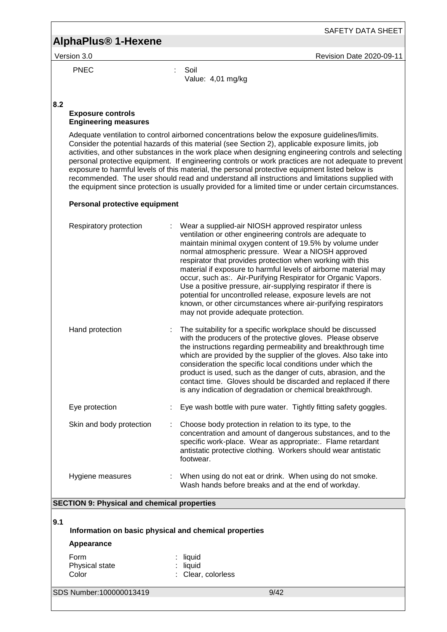Version 3.0 **CONFIDENTIAL CONFIDENTIAL CONFIDENTIAL CONFIDENTIAL CONFIDENTIAL CONFIDENTIAL CONFIDENTIAL CONFIDENTIAL CONFIDENTIAL CONFIDENTIAL CONFIDENTIAL CONFIDENTIAL CONFIDENTIAL CONFIDENTIAL CONFIDENTIAL CONFIDENTIAL C** 

SAFETY DATA SHEET

PNEC : Soil

Value: 4,01 mg/kg

#### **8.2**

#### **Exposure controls Engineering measures**

Adequate ventilation to control airborned concentrations below the exposure guidelines/limits. Consider the potential hazards of this material (see Section 2), applicable exposure limits, job activities, and other substances in the work place when designing engineering controls and selecting personal protective equipment. If engineering controls or work practices are not adequate to prevent exposure to harmful levels of this material, the personal protective equipment listed below is recommended. The user should read and understand all instructions and limitations supplied with the equipment since protection is usually provided for a limited time or under certain circumstances.

#### **Personal protective equipment**

| Respiratory protection   |    | Wear a supplied-air NIOSH approved respirator unless<br>ventilation or other engineering controls are adequate to<br>maintain minimal oxygen content of 19.5% by volume under<br>normal atmospheric pressure. Wear a NIOSH approved<br>respirator that provides protection when working with this<br>material if exposure to harmful levels of airborne material may<br>occur, such as: Air-Purifying Respirator for Organic Vapors.<br>Use a positive pressure, air-supplying respirator if there is<br>potential for uncontrolled release, exposure levels are not<br>known, or other circumstances where air-purifying respirators<br>may not provide adequate protection. |
|--------------------------|----|-------------------------------------------------------------------------------------------------------------------------------------------------------------------------------------------------------------------------------------------------------------------------------------------------------------------------------------------------------------------------------------------------------------------------------------------------------------------------------------------------------------------------------------------------------------------------------------------------------------------------------------------------------------------------------|
| Hand protection          |    | The suitability for a specific workplace should be discussed<br>with the producers of the protective gloves. Please observe<br>the instructions regarding permeability and breakthrough time<br>which are provided by the supplier of the gloves. Also take into<br>consideration the specific local conditions under which the<br>product is used, such as the danger of cuts, abrasion, and the<br>contact time. Gloves should be discarded and replaced if there<br>is any indication of degradation or chemical breakthrough.                                                                                                                                             |
| Eye protection           |    | Eye wash bottle with pure water. Tightly fitting safety goggles.                                                                                                                                                                                                                                                                                                                                                                                                                                                                                                                                                                                                              |
| Skin and body protection |    | Choose body protection in relation to its type, to the<br>concentration and amount of dangerous substances, and to the<br>specific work-place. Wear as appropriate:. Flame retardant<br>antistatic protective clothing. Workers should wear antistatic<br>footwear.                                                                                                                                                                                                                                                                                                                                                                                                           |
| Hygiene measures         | t. | When using do not eat or drink. When using do not smoke.<br>Wash hands before breaks and at the end of workday.                                                                                                                                                                                                                                                                                                                                                                                                                                                                                                                                                               |

#### **SECTION 9: Physical and chemical properties**

#### **9.1**

| Y. I |                                                       |                                                |  |  |  |  |  |
|------|-------------------------------------------------------|------------------------------------------------|--|--|--|--|--|
|      | Information on basic physical and chemical properties |                                                |  |  |  |  |  |
|      | Appearance                                            |                                                |  |  |  |  |  |
|      | Form<br>Physical state<br>Color                       | $:$ liquid<br>$:$ liquid<br>: Clear, colorless |  |  |  |  |  |
|      | SDS Number:100000013419                               | 9/42                                           |  |  |  |  |  |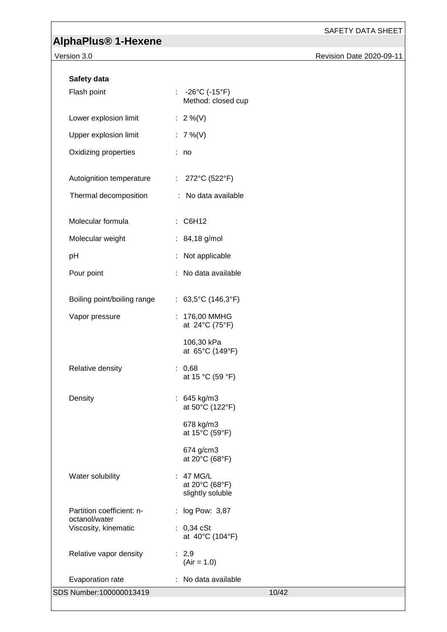Version 3.0 Revision Date 2020-09-11

| Safety data                                |                                                            |
|--------------------------------------------|------------------------------------------------------------|
| Flash point                                | : $-26^{\circ}$ C (-15 $^{\circ}$ F)<br>Method: closed cup |
| Lower explosion limit                      | : $2\%$ (V)                                                |
| Upper explosion limit                      | : $7\%$ (V)                                                |
| Oxidizing properties                       | : no                                                       |
| Autoignition temperature                   | : $272^{\circ}C(522^{\circ}F)$                             |
| Thermal decomposition                      | : No data available                                        |
| Molecular formula                          | : C6H12                                                    |
| Molecular weight                           | $: 84,18$ g/mol                                            |
| pH                                         | : Not applicable                                           |
| Pour point                                 | : No data available                                        |
| Boiling point/boiling range                | : $63,5^{\circ}$ C (146,3°F)                               |
| Vapor pressure                             | : 176,00 MMHG<br>at 24°C (75°F)                            |
|                                            | 106,30 kPa<br>at 65°C (149°F)                              |
| Relative density                           | : 0,68<br>at 15 °C (59 °F)                                 |
| Density                                    | : $645 \text{ kg/m3}$<br>at 50°C (122°F)                   |
|                                            | 678 kg/m3<br>at 15°C (59°F)                                |
|                                            | 674 g/cm3<br>at 20°C (68°F)                                |
| Water solubility                           | 47 MG/L<br>at 20°C (68°F)<br>slightly soluble              |
| Partition coefficient: n-<br>octanol/water | : log Pow: 3,87                                            |
| Viscosity, kinematic                       | $: 0,34$ cSt<br>at 40°C (104°F)                            |
| Relative vapor density                     | : 2,9<br>$(Air = 1.0)$                                     |
| Evaporation rate                           | No data available                                          |
| SDS Number:100000013419                    | 10/42                                                      |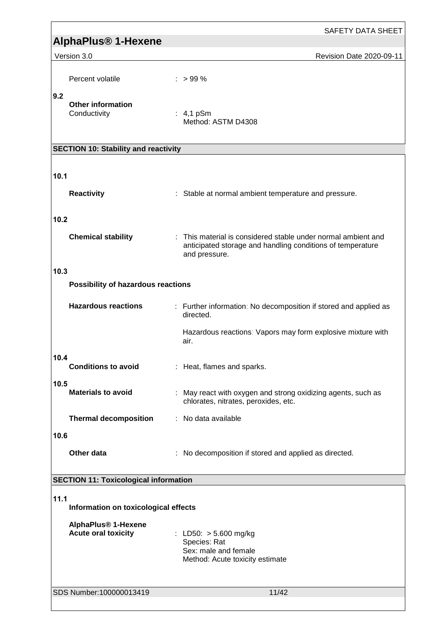|                                              |                                                   |  | SAFETY DATA SHEET                                                                                                                            |  |
|----------------------------------------------|---------------------------------------------------|--|----------------------------------------------------------------------------------------------------------------------------------------------|--|
|                                              | <b>AlphaPlus<sup>®</sup> 1-Hexene</b>             |  |                                                                                                                                              |  |
|                                              | Version 3.0                                       |  | Revision Date 2020-09-11                                                                                                                     |  |
|                                              | Percent volatile                                  |  | $:$ > 99 %                                                                                                                                   |  |
| 9.2                                          | <b>Other information</b><br>Conductivity          |  | $: 4,1$ pSm<br>Method: ASTM D4308                                                                                                            |  |
|                                              | <b>SECTION 10: Stability and reactivity</b>       |  |                                                                                                                                              |  |
| 10.1                                         | <b>Reactivity</b>                                 |  | : Stable at normal ambient temperature and pressure.                                                                                         |  |
| 10.2                                         |                                                   |  |                                                                                                                                              |  |
|                                              | <b>Chemical stability</b>                         |  | : This material is considered stable under normal ambient and<br>anticipated storage and handling conditions of temperature<br>and pressure. |  |
| 10.3                                         |                                                   |  |                                                                                                                                              |  |
|                                              | Possibility of hazardous reactions                |  |                                                                                                                                              |  |
|                                              | <b>Hazardous reactions</b>                        |  | : Further information: No decomposition if stored and applied as<br>directed.                                                                |  |
|                                              |                                                   |  | Hazardous reactions: Vapors may form explosive mixture with<br>air.                                                                          |  |
| 10.4                                         | <b>Conditions to avoid</b>                        |  | : Heat, flames and sparks.                                                                                                                   |  |
| 10.5                                         | <b>Materials to avoid</b>                         |  | : May react with oxygen and strong oxidizing agents, such as<br>chlorates, nitrates, peroxides, etc.                                         |  |
|                                              | <b>Thermal decomposition</b>                      |  | : No data available                                                                                                                          |  |
| 10.6                                         |                                                   |  |                                                                                                                                              |  |
|                                              | Other data                                        |  | : No decomposition if stored and applied as directed.                                                                                        |  |
| <b>SECTION 11: Toxicological information</b> |                                                   |  |                                                                                                                                              |  |
| 11.1<br>Information on toxicological effects |                                                   |  |                                                                                                                                              |  |
|                                              | AlphaPlus® 1-Hexene<br><b>Acute oral toxicity</b> |  | : LD50: $> 5.600$ mg/kg<br>Species: Rat<br>Sex: male and female<br>Method: Acute toxicity estimate                                           |  |
|                                              | SDS Number:100000013419                           |  | 11/42                                                                                                                                        |  |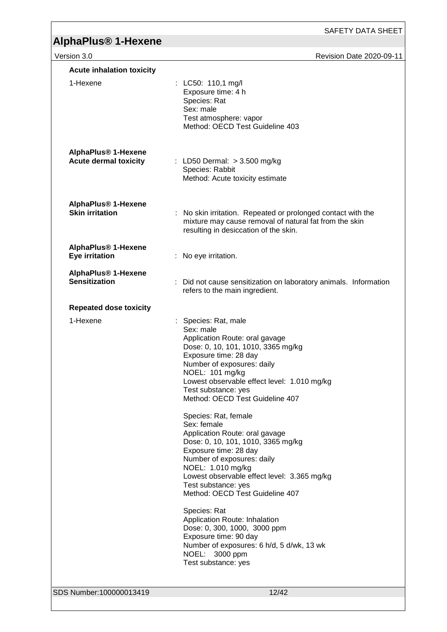### version 3.0 Version 3.0

| 1-Hexene                                                        | : LC50: 110,1 mg/l<br>Exposure time: 4 h<br>Species: Rat<br>Sex: male                                                                                                                                                                                                                            |
|-----------------------------------------------------------------|--------------------------------------------------------------------------------------------------------------------------------------------------------------------------------------------------------------------------------------------------------------------------------------------------|
|                                                                 | Test atmosphere: vapor<br>Method: OECD Test Guideline 403                                                                                                                                                                                                                                        |
| AlphaPlus <sup>®</sup> 1-Hexene<br><b>Acute dermal toxicity</b> | : LD50 Dermal: > 3.500 mg/kg<br>Species: Rabbit<br>Method: Acute toxicity estimate                                                                                                                                                                                                               |
| AlphaPlus <sup>®</sup> 1-Hexene<br><b>Skin irritation</b>       | : No skin irritation. Repeated or prolonged contact with the<br>mixture may cause removal of natural fat from the skin<br>resulting in desiccation of the skin.                                                                                                                                  |
| AlphaPlus <sup>®</sup> 1-Hexene<br>Eye irritation               | : No eye irritation.                                                                                                                                                                                                                                                                             |
| AlphaPlus <sup>®</sup> 1-Hexene<br><b>Sensitization</b>         | : Did not cause sensitization on laboratory animals. Information<br>refers to the main ingredient.                                                                                                                                                                                               |
| <b>Repeated dose toxicity</b>                                   |                                                                                                                                                                                                                                                                                                  |
| 1-Hexene                                                        | Species: Rat, male<br>Sex: male<br>Application Route: oral gavage<br>Dose: 0, 10, 101, 1010, 3365 mg/kg<br>Exposure time: 28 day<br>Number of exposures: daily<br>NOEL: 101 mg/kg<br>Lowest observable effect level: 1.010 mg/kg<br>Test substance: yes<br>Method: OECD Test Guideline 407       |
|                                                                 | Species: Rat, female<br>Sex: female<br>Application Route: oral gavage<br>Dose: 0, 10, 101, 1010, 3365 mg/kg<br>Exposure time: 28 day<br>Number of exposures: daily<br>NOEL: 1.010 mg/kg<br>Lowest observable effect level: 3.365 mg/kg<br>Test substance: yes<br>Method: OECD Test Guideline 407 |
|                                                                 | Species: Rat<br>Application Route: Inhalation<br>Dose: 0, 300, 1000, 3000 ppm<br>Exposure time: 90 day<br>Number of exposures: 6 h/d, 5 d/wk, 13 wk<br>NOEL: 3000 ppm<br>Test substance: yes                                                                                                     |
| SDS Number:100000013419                                         | 12/42                                                                                                                                                                                                                                                                                            |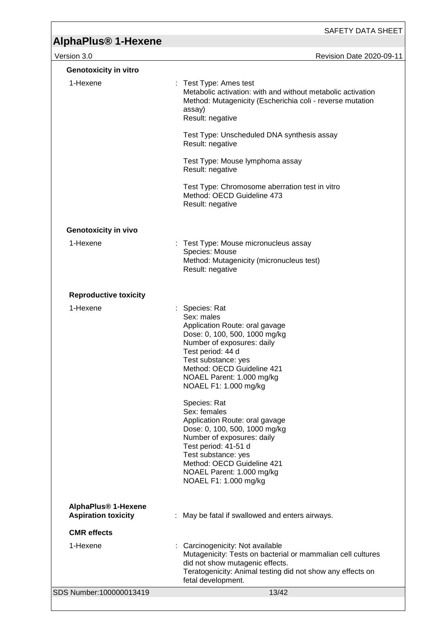SAFETY DATA SHEET

| Version 3.0                                       | Revision Date 2020-09-11                                                                                                                                                                                                                                         |
|---------------------------------------------------|------------------------------------------------------------------------------------------------------------------------------------------------------------------------------------------------------------------------------------------------------------------|
| <b>Genotoxicity in vitro</b>                      |                                                                                                                                                                                                                                                                  |
| 1-Hexene                                          | ÷<br>Test Type: Ames test<br>Metabolic activation: with and without metabolic activation<br>Method: Mutagenicity (Escherichia coli - reverse mutation<br>assay)<br>Result: negative                                                                              |
|                                                   | Test Type: Unscheduled DNA synthesis assay<br>Result: negative                                                                                                                                                                                                   |
|                                                   | Test Type: Mouse lymphoma assay<br>Result: negative                                                                                                                                                                                                              |
|                                                   | Test Type: Chromosome aberration test in vitro<br>Method: OECD Guideline 473<br>Result: negative                                                                                                                                                                 |
| <b>Genotoxicity in vivo</b>                       |                                                                                                                                                                                                                                                                  |
| 1-Hexene                                          | Test Type: Mouse micronucleus assay<br>Species: Mouse<br>Method: Mutagenicity (micronucleus test)<br>Result: negative                                                                                                                                            |
| <b>Reproductive toxicity</b>                      |                                                                                                                                                                                                                                                                  |
| 1-Hexene                                          | Species: Rat<br>Sex: males<br>Application Route: oral gavage<br>Dose: 0, 100, 500, 1000 mg/kg<br>Number of exposures: daily<br>Test period: 44 d<br>Test substance: yes<br>Method: OECD Guideline 421<br>NOAEL Parent: 1.000 mg/kg<br>NOAEL F1: 1.000 mg/kg      |
|                                                   | Species: Rat<br>Sex: females<br>Application Route: oral gavage<br>Dose: 0, 100, 500, 1000 mg/kg<br>Number of exposures: daily<br>Test period: 41-51 d<br>Test substance: yes<br>Method: OECD Guideline 421<br>NOAEL Parent: 1.000 mg/kg<br>NOAEL F1: 1.000 mg/kg |
| AlphaPlus® 1-Hexene<br><b>Aspiration toxicity</b> | May be fatal if swallowed and enters airways.                                                                                                                                                                                                                    |
| <b>CMR</b> effects                                |                                                                                                                                                                                                                                                                  |
| 1-Hexene                                          | : Carcinogenicity: Not available<br>Mutagenicity: Tests on bacterial or mammalian cell cultures<br>did not show mutagenic effects.<br>Teratogenicity: Animal testing did not show any effects on<br>fetal development.                                           |
| SDS Number:100000013419                           | 13/42                                                                                                                                                                                                                                                            |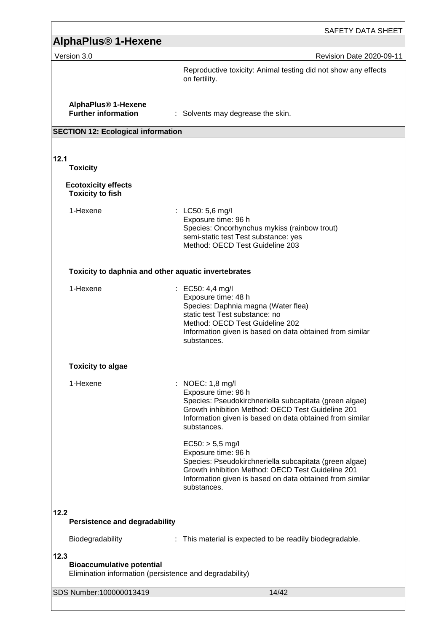|                                                                                                     | SAFETY DATA SHEET                                                                                                                                                                                                                   |
|-----------------------------------------------------------------------------------------------------|-------------------------------------------------------------------------------------------------------------------------------------------------------------------------------------------------------------------------------------|
| <b>AlphaPlus<sup>®</sup> 1-Hexene</b>                                                               |                                                                                                                                                                                                                                     |
| Version 3.0                                                                                         | Revision Date 2020-09-11<br>Reproductive toxicity: Animal testing did not show any effects<br>on fertility.                                                                                                                         |
| AlphaPlus <sup>®</sup> 1-Hexene<br><b>Further information</b>                                       | : Solvents may degrease the skin.                                                                                                                                                                                                   |
| <b>SECTION 12: Ecological information</b>                                                           |                                                                                                                                                                                                                                     |
| 12.1<br><b>Toxicity</b><br><b>Ecotoxicity effects</b>                                               |                                                                                                                                                                                                                                     |
| <b>Toxicity to fish</b>                                                                             |                                                                                                                                                                                                                                     |
| 1-Hexene                                                                                            | : LC50: 5,6 mg/l<br>Exposure time: 96 h<br>Species: Oncorhynchus mykiss (rainbow trout)<br>semi-static test Test substance: yes<br>Method: OECD Test Guideline 203                                                                  |
| Toxicity to daphnia and other aquatic invertebrates                                                 |                                                                                                                                                                                                                                     |
| 1-Hexene                                                                                            | : EC50: 4,4 mg/l<br>Exposure time: 48 h<br>Species: Daphnia magna (Water flea)<br>static test Test substance: no<br>Method: OECD Test Guideline 202<br>Information given is based on data obtained from similar<br>substances.      |
| <b>Toxicity to algae</b>                                                                            |                                                                                                                                                                                                                                     |
| 1-Hexene                                                                                            | NOEC: 1,8 mg/l<br>Exposure time: 96 h<br>Species: Pseudokirchneriella subcapitata (green algae)<br>Growth inhibition Method: OECD Test Guideline 201<br>Information given is based on data obtained from similar<br>substances.     |
|                                                                                                     | $EC50:$ > 5,5 mg/l<br>Exposure time: 96 h<br>Species: Pseudokirchneriella subcapitata (green algae)<br>Growth inhibition Method: OECD Test Guideline 201<br>Information given is based on data obtained from similar<br>substances. |
| 12.2                                                                                                |                                                                                                                                                                                                                                     |
| <b>Persistence and degradability</b>                                                                |                                                                                                                                                                                                                                     |
| Biodegradability                                                                                    | This material is expected to be readily biodegradable.                                                                                                                                                                              |
| 12.3<br><b>Bioaccumulative potential</b><br>Elimination information (persistence and degradability) |                                                                                                                                                                                                                                     |
| SDS Number:100000013419                                                                             | 14/42                                                                                                                                                                                                                               |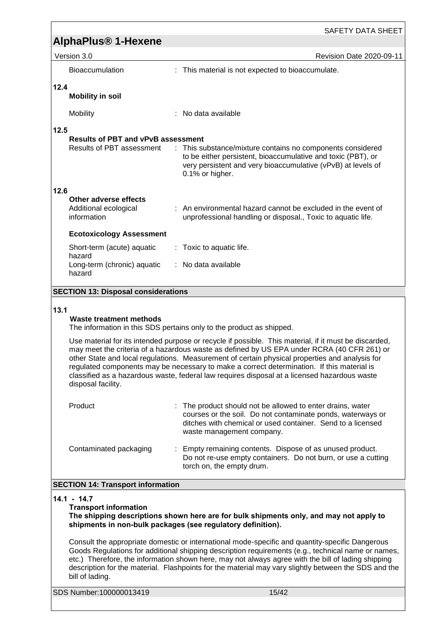|                                                                                       | SAFETY DATA SHEET                                                                                                                                                                                                                                                                                                                                                                                                                                                                                   |
|---------------------------------------------------------------------------------------|-----------------------------------------------------------------------------------------------------------------------------------------------------------------------------------------------------------------------------------------------------------------------------------------------------------------------------------------------------------------------------------------------------------------------------------------------------------------------------------------------------|
| <b>AlphaPlus<sup>®</sup> 1-Hexene</b>                                                 |                                                                                                                                                                                                                                                                                                                                                                                                                                                                                                     |
| Version 3.0                                                                           | Revision Date 2020-09-11                                                                                                                                                                                                                                                                                                                                                                                                                                                                            |
| Bioaccumulation                                                                       | : This material is not expected to bioaccumulate.                                                                                                                                                                                                                                                                                                                                                                                                                                                   |
| 12.4<br><b>Mobility in soil</b>                                                       |                                                                                                                                                                                                                                                                                                                                                                                                                                                                                                     |
| Mobility                                                                              | No data available                                                                                                                                                                                                                                                                                                                                                                                                                                                                                   |
| 12.5<br><b>Results of PBT and vPvB assessment</b><br><b>Results of PBT assessment</b> | : This substance/mixture contains no components considered<br>to be either persistent, bioaccumulative and toxic (PBT), or<br>very persistent and very bioaccumulative (vPvB) at levels of<br>0.1% or higher.                                                                                                                                                                                                                                                                                       |
| 12.6<br>Other adverse effects<br>Additional ecological<br>information                 | : An environmental hazard cannot be excluded in the event of<br>unprofessional handling or disposal., Toxic to aquatic life.                                                                                                                                                                                                                                                                                                                                                                        |
| <b>Ecotoxicology Assessment</b>                                                       |                                                                                                                                                                                                                                                                                                                                                                                                                                                                                                     |
| Short-term (acute) aquatic<br>hazard                                                  | : Toxic to aquatic life.                                                                                                                                                                                                                                                                                                                                                                                                                                                                            |
| Long-term (chronic) aquatic<br>hazard                                                 | : No data available                                                                                                                                                                                                                                                                                                                                                                                                                                                                                 |
| <b>SECTION 13: Disposal considerations</b>                                            |                                                                                                                                                                                                                                                                                                                                                                                                                                                                                                     |
| 13.1<br>Waste treatment methods                                                       | The information in this SDS pertains only to the product as shipped.                                                                                                                                                                                                                                                                                                                                                                                                                                |
| disposal facility.                                                                    | Use material for its intended purpose or recycle if possible. This material, if it must be discarded,<br>may meet the criteria of a hazardous waste as defined by US EPA under RCRA (40 CFR 261) or<br>other State and local regulations. Measurement of certain physical properties and analysis for<br>regulated components may be necessary to make a correct determination. If this material is<br>classified as a hazardous waste, federal law requires disposal at a licensed hazardous waste |
| Product                                                                               | The product should not be allowed to enter drains, water<br>courses or the soil. Do not contaminate ponds, waterways or<br>ditches with chemical or used container. Send to a licensed<br>waste management company.                                                                                                                                                                                                                                                                                 |
| Contaminated packaging                                                                | Empty remaining contents. Dispose of as unused product.<br>Do not re-use empty containers. Do not burn, or use a cutting<br>torch on, the empty drum.                                                                                                                                                                                                                                                                                                                                               |
| <b>SECTION 14: Transport information</b>                                              |                                                                                                                                                                                                                                                                                                                                                                                                                                                                                                     |
| $14.1 - 14.7$<br><b>Transport information</b>                                         | The shipping descriptions shown here are for bulk shipments only, and may not apply to<br>shipments in non-bulk packages (see regulatory definition).                                                                                                                                                                                                                                                                                                                                               |

Consult the appropriate domestic or international mode-specific and quantity-specific Dangerous Goods Regulations for additional shipping description requirements (e.g., technical name or names, etc.) Therefore, the information shown here, may not always agree with the bill of lading shipping description for the material. Flashpoints for the material may vary slightly between the SDS and the bill of lading.

SDS Number:100000013419 15/42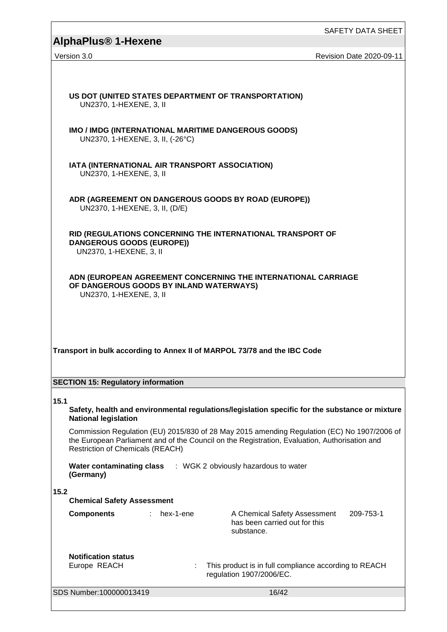SAFETY DATA SHEET

Version 3.0 Revision Date 2020-09-11

| US DOT (UNITED STATES DEPARTMENT OF TRANSPORTATION)<br>UN2370, 1-HEXENE, 3, II          |                                                                                                                                                                                              |
|-----------------------------------------------------------------------------------------|----------------------------------------------------------------------------------------------------------------------------------------------------------------------------------------------|
| IMO / IMDG (INTERNATIONAL MARITIME DANGEROUS GOODS)<br>UN2370, 1-HEXENE, 3, II, (-26°C) |                                                                                                                                                                                              |
| IATA (INTERNATIONAL AIR TRANSPORT ASSOCIATION)<br>UN2370, 1-HEXENE, 3, II               |                                                                                                                                                                                              |
| ADR (AGREEMENT ON DANGEROUS GOODS BY ROAD (EUROPE))<br>UN2370, 1-HEXENE, 3, II, (D/E)   |                                                                                                                                                                                              |
| DANGEROUS GOODS (EUROPE))<br>UN2370, 1-HEXENE, 3, II                                    | RID (REGULATIONS CONCERNING THE INTERNATIONAL TRANSPORT OF                                                                                                                                   |
| OF DANGEROUS GOODS BY INLAND WATERWAYS)<br>UN2370, 1-HEXENE, 3, II                      | ADN (EUROPEAN AGREEMENT CONCERNING THE INTERNATIONAL CARRIAGE                                                                                                                                |
|                                                                                         |                                                                                                                                                                                              |
|                                                                                         |                                                                                                                                                                                              |
| Transport in bulk according to Annex II of MARPOL 73/78 and the IBC Code                |                                                                                                                                                                                              |
| <b>SECTION 15: Regulatory information</b>                                               |                                                                                                                                                                                              |
| 15.1<br><b>National legislation</b>                                                     | Safety, health and environmental regulations/legislation specific for the substance or mixture                                                                                               |
| <b>Restriction of Chemicals (REACH)</b>                                                 | Commission Regulation (EU) 2015/830 of 28 May 2015 amending Regulation (EC) No 1907/2006 of<br>the European Parliament and of the Council on the Registration, Evaluation, Authorisation and |
| <b>Water contaminating class</b><br>(Germany)                                           | : WGK 2 obviously hazardous to water                                                                                                                                                         |
| 15.2<br><b>Chemical Safety Assessment</b>                                               |                                                                                                                                                                                              |
| <b>Components</b><br>hex-1-ene                                                          | A Chemical Safety Assessment<br>209-753-1<br>has been carried out for this<br>substance.                                                                                                     |
| <b>Notification status</b><br>Europe REACH                                              | This product is in full compliance according to REACH<br>regulation 1907/2006/EC.                                                                                                            |
| SDS Number:100000013419                                                                 | 16/42                                                                                                                                                                                        |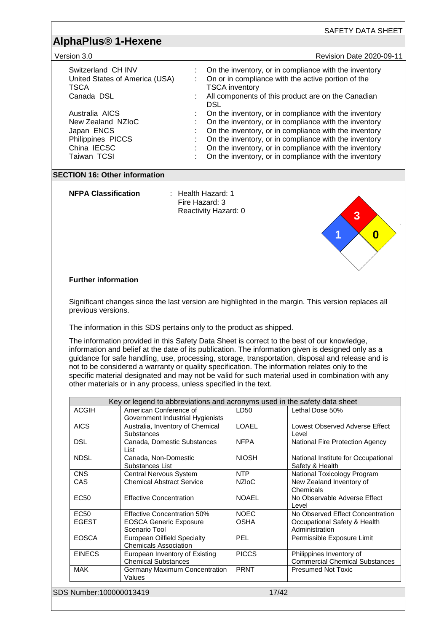|                                                                                                      | <b>SAFETY DATA SHEET</b>                                                                                                                                                                                                                                                                                                                           |
|------------------------------------------------------------------------------------------------------|----------------------------------------------------------------------------------------------------------------------------------------------------------------------------------------------------------------------------------------------------------------------------------------------------------------------------------------------------|
| <b>AlphaPlus<sup>®</sup> 1-Hexene</b>                                                                |                                                                                                                                                                                                                                                                                                                                                    |
| Version 3.0                                                                                          | <b>Revision Date 2020-09-11</b>                                                                                                                                                                                                                                                                                                                    |
| Switzerland CH INV<br>United States of America (USA)<br><b>TSCA</b><br>Canada DSL                    | On the inventory, or in compliance with the inventory<br>On or in compliance with the active portion of the<br><b>TSCA inventory</b><br>All components of this product are on the Canadian<br><b>DSL</b>                                                                                                                                           |
| Australia AICS<br>New Zealand NZIoC<br>Japan ENCS<br>Philippines PICCS<br>China IECSC<br>Taiwan TCSI | On the inventory, or in compliance with the inventory<br>On the inventory, or in compliance with the inventory<br>On the inventory, or in compliance with the inventory<br>On the inventory, or in compliance with the inventory<br>On the inventory, or in compliance with the inventory<br>On the inventory, or in compliance with the inventory |

#### **SECTION 16: Other information**

**NFPA Classification** : Health Hazard: 1

Fire Hazard: 3 Reactivity Hazard: 0

#### **Further information**

Significant changes since the last version are highlighted in the margin. This version replaces all previous versions.

**0**

**3**

**1**

The information in this SDS pertains only to the product as shipped.

The information provided in this Safety Data Sheet is correct to the best of our knowledge, information and belief at the date of its publication. The information given is designed only as a guidance for safe handling, use, processing, storage, transportation, disposal and release and is not to be considered a warranty or quality specification. The information relates only to the specific material designated and may not be valid for such material used in combination with any other materials or in any process, unless specified in the text.

| <b>ACGIH</b>     | American Conference of                                             | LD50         | Key or legend to abbreviations and acronyms used in the safety data sheet<br>Lethal Dose 50% |
|------------------|--------------------------------------------------------------------|--------------|----------------------------------------------------------------------------------------------|
|                  | Government Industrial Hygienists                                   |              |                                                                                              |
| <b>AICS</b>      | Australia, Inventory of Chemical<br>Substances                     | <b>LOAEL</b> | Lowest Observed Adverse Effect<br>Level                                                      |
| <b>DSL</b>       | Canada, Domestic Substances<br>List                                | <b>NFPA</b>  | National Fire Protection Agency                                                              |
| <b>NDSL</b>      | Canada, Non-Domestic<br>Substances List                            | <b>NIOSH</b> | National Institute for Occupational<br>Safety & Health                                       |
| <b>CNS</b>       | Central Nervous System                                             | <b>NTP</b>   | National Toxicology Program                                                                  |
| CAS              | <b>Chemical Abstract Service</b>                                   | <b>NZIOC</b> | New Zealand Inventory of<br>Chemicals                                                        |
| <b>EC50</b>      | <b>Effective Concentration</b>                                     | <b>NOAEL</b> | No Observable Adverse Effect<br>Level                                                        |
| EC <sub>50</sub> | <b>Effective Concentration 50%</b>                                 | <b>NOEC</b>  | No Observed Effect Concentration                                                             |
| <b>FGEST</b>     | <b>EOSCA Generic Exposure</b><br>Scenario Tool                     | OSHA         | Occupational Safety & Health<br>Administration                                               |
| <b>EOSCA</b>     | <b>European Oilfield Specialty</b><br><b>Chemicals Association</b> | PEL          | Permissible Exposure Limit                                                                   |
| <b>EINECS</b>    | European Inventory of Existing<br><b>Chemical Substances</b>       | <b>PICCS</b> | Philippines Inventory of<br><b>Commercial Chemical Substances</b>                            |
| <b>MAK</b>       | Germany Maximum Concentration<br>Values                            | <b>PRNT</b>  | <b>Presumed Not Toxic</b>                                                                    |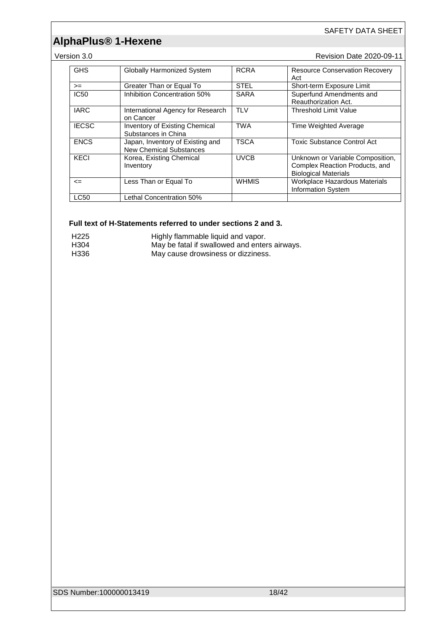#### SAFETY DATA SHEET

Version 3.0 Revision Date 2020-09-11

| <b>GHS</b>   | <b>Globally Harmonized System</b>                                  | <b>RCRA</b>  | <b>Resource Conservation Recovery</b><br>Act                                                      |
|--------------|--------------------------------------------------------------------|--------------|---------------------------------------------------------------------------------------------------|
| $>=$         | Greater Than or Equal To                                           | <b>STEL</b>  | Short-term Exposure Limit                                                                         |
| IC50         | Inhibition Concentration 50%                                       | <b>SARA</b>  | Superfund Amendments and<br>Reauthorization Act.                                                  |
| <b>IARC</b>  | International Agency for Research<br>on Cancer                     | <b>TLV</b>   | <b>Threshold Limit Value</b>                                                                      |
| <b>IECSC</b> | <b>Inventory of Existing Chemical</b><br>Substances in China       | <b>TWA</b>   | Time Weighted Average                                                                             |
| <b>ENCS</b>  | Japan, Inventory of Existing and<br><b>New Chemical Substances</b> | <b>TSCA</b>  | <b>Toxic Substance Control Act</b>                                                                |
| <b>KECI</b>  | Korea, Existing Chemical<br>Inventory                              | <b>UVCB</b>  | Unknown or Variable Composition,<br>Complex Reaction Products, and<br><b>Biological Materials</b> |
| $\leq$       | Less Than or Equal To                                              | <b>WHMIS</b> | Workplace Hazardous Materials<br><b>Information System</b>                                        |
| LC50         | Lethal Concentration 50%                                           |              |                                                                                                   |

#### **Full text of H-Statements referred to under sections 2 and 3.**

| H <sub>225</sub> | Highly flammable liquid and vapor.            |
|------------------|-----------------------------------------------|
| H304             | May be fatal if swallowed and enters airways. |
| H336             | May cause drowsiness or dizziness.            |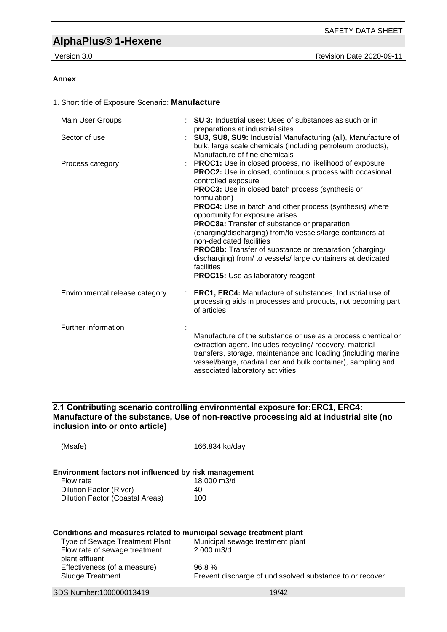**Annex**

SAFETY DATA SHEET

Version 3.0 Revision Date 2020-09-11

| 1. Short title of Exposure Scenario: Manufacture                                                                                                                                                           |                                                                                                                                                                                                                                                                                                                                                                                                                                                                                         |  |
|------------------------------------------------------------------------------------------------------------------------------------------------------------------------------------------------------------|-----------------------------------------------------------------------------------------------------------------------------------------------------------------------------------------------------------------------------------------------------------------------------------------------------------------------------------------------------------------------------------------------------------------------------------------------------------------------------------------|--|
| Main User Groups                                                                                                                                                                                           | : SU 3: Industrial uses: Uses of substances as such or in                                                                                                                                                                                                                                                                                                                                                                                                                               |  |
| Sector of use                                                                                                                                                                                              | preparations at industrial sites<br>: SU3, SU8, SU9: Industrial Manufacturing (all), Manufacture of<br>bulk, large scale chemicals (including petroleum products),                                                                                                                                                                                                                                                                                                                      |  |
| Process category                                                                                                                                                                                           | Manufacture of fine chemicals<br>PROC1: Use in closed process, no likelihood of exposure<br>PROC2: Use in closed, continuous process with occasional<br>controlled exposure<br>PROC3: Use in closed batch process (synthesis or<br>formulation)<br>PROC4: Use in batch and other process (synthesis) where<br>opportunity for exposure arises<br>PROC8a: Transfer of substance or preparation<br>(charging/discharging) from/to vessels/large containers at<br>non-dedicated facilities |  |
|                                                                                                                                                                                                            | <b>PROC8b:</b> Transfer of substance or preparation (charging/<br>discharging) from/ to vessels/ large containers at dedicated<br>facilities<br><b>PROC15:</b> Use as laboratory reagent                                                                                                                                                                                                                                                                                                |  |
| Environmental release category                                                                                                                                                                             | <b>ERC1, ERC4: Manufacture of substances, Industrial use of</b><br>processing aids in processes and products, not becoming part<br>of articles                                                                                                                                                                                                                                                                                                                                          |  |
| Further information                                                                                                                                                                                        | Manufacture of the substance or use as a process chemical or<br>extraction agent. Includes recycling/ recovery, material<br>transfers, storage, maintenance and loading (including marine<br>vessel/barge, road/rail car and bulk container), sampling and<br>associated laboratory activities                                                                                                                                                                                          |  |
| 2.1 Contributing scenario controlling environmental exposure for:ERC1, ERC4:<br>Manufacture of the substance, Use of non-reactive processing aid at industrial site (no<br>inclusion into or onto article) |                                                                                                                                                                                                                                                                                                                                                                                                                                                                                         |  |
| (Msafe)                                                                                                                                                                                                    | : $166.834$ kg/day                                                                                                                                                                                                                                                                                                                                                                                                                                                                      |  |
| Environment factors not influenced by risk management<br>Flow rate<br><b>Dilution Factor (River)</b><br>Dilution Factor (Coastal Areas)                                                                    | 18.000 m3/d<br>40<br>: 100                                                                                                                                                                                                                                                                                                                                                                                                                                                              |  |
| Conditions and measures related to municipal sewage treatment plant<br>Type of Sewage Treatment Plant<br>Flow rate of sewage treatment<br>plant effluent                                                   | : Municipal sewage treatment plant<br>$: 2.000 \text{ m}$ 3/d                                                                                                                                                                                                                                                                                                                                                                                                                           |  |
| Effectiveness (of a measure)<br>Sludge Treatment                                                                                                                                                           | : 96,8%<br>: Prevent discharge of undissolved substance to or recover                                                                                                                                                                                                                                                                                                                                                                                                                   |  |
| SDS Number:100000013419                                                                                                                                                                                    | 19/42                                                                                                                                                                                                                                                                                                                                                                                                                                                                                   |  |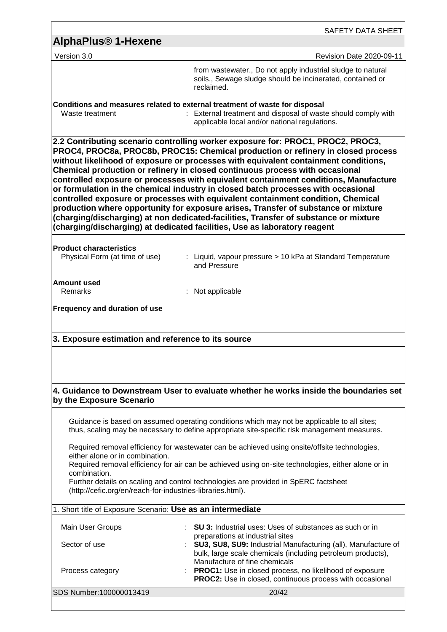|                                                                                                               | SAFETY DATA SHEET                                                                                                                                                                                                                                                                                                                                                                                                                                                                                                                                                                                                                                                                                                                                                                                                                                                      |  |
|---------------------------------------------------------------------------------------------------------------|------------------------------------------------------------------------------------------------------------------------------------------------------------------------------------------------------------------------------------------------------------------------------------------------------------------------------------------------------------------------------------------------------------------------------------------------------------------------------------------------------------------------------------------------------------------------------------------------------------------------------------------------------------------------------------------------------------------------------------------------------------------------------------------------------------------------------------------------------------------------|--|
| <b>AlphaPlus<sup>®</sup> 1-Hexene</b>                                                                         |                                                                                                                                                                                                                                                                                                                                                                                                                                                                                                                                                                                                                                                                                                                                                                                                                                                                        |  |
| Version 3.0                                                                                                   | <b>Revision Date 2020-09-11</b>                                                                                                                                                                                                                                                                                                                                                                                                                                                                                                                                                                                                                                                                                                                                                                                                                                        |  |
|                                                                                                               | from wastewater., Do not apply industrial sludge to natural<br>soils., Sewage sludge should be incinerated, contained or<br>reclaimed.                                                                                                                                                                                                                                                                                                                                                                                                                                                                                                                                                                                                                                                                                                                                 |  |
| Waste treatment                                                                                               | Conditions and measures related to external treatment of waste for disposal<br>: External treatment and disposal of waste should comply with<br>applicable local and/or national regulations.                                                                                                                                                                                                                                                                                                                                                                                                                                                                                                                                                                                                                                                                          |  |
|                                                                                                               | 2.2 Contributing scenario controlling worker exposure for: PROC1, PROC2, PROC3,<br>PROC4, PROC8a, PROC8b, PROC15: Chemical production or refinery in closed process<br>without likelihood of exposure or processes with equivalent containment conditions,<br>Chemical production or refinery in closed continuous process with occasional<br>controlled exposure or processes with equivalent containment conditions, Manufacture<br>or formulation in the chemical industry in closed batch processes with occasional<br>controlled exposure or processes with equivalent containment condition, Chemical<br>production where opportunity for exposure arises, Transfer of substance or mixture<br>(charging/discharging) at non dedicated-facilities, Transfer of substance or mixture<br>(charging/discharging) at dedicated facilities, Use as laboratory reagent |  |
| <b>Product characteristics</b><br>Physical Form (at time of use)                                              | : Liquid, vapour pressure > 10 kPa at Standard Temperature<br>and Pressure                                                                                                                                                                                                                                                                                                                                                                                                                                                                                                                                                                                                                                                                                                                                                                                             |  |
| <b>Amount used</b><br>Remarks                                                                                 | Not applicable                                                                                                                                                                                                                                                                                                                                                                                                                                                                                                                                                                                                                                                                                                                                                                                                                                                         |  |
| Frequency and duration of use                                                                                 |                                                                                                                                                                                                                                                                                                                                                                                                                                                                                                                                                                                                                                                                                                                                                                                                                                                                        |  |
| 3. Exposure estimation and reference to its source                                                            |                                                                                                                                                                                                                                                                                                                                                                                                                                                                                                                                                                                                                                                                                                                                                                                                                                                                        |  |
| by the Exposure Scenario                                                                                      | 4. Guidance to Downstream User to evaluate whether he works inside the boundaries set                                                                                                                                                                                                                                                                                                                                                                                                                                                                                                                                                                                                                                                                                                                                                                                  |  |
|                                                                                                               | Guidance is based on assumed operating conditions which may not be applicable to all sites;<br>thus, scaling may be necessary to define appropriate site-specific risk management measures.                                                                                                                                                                                                                                                                                                                                                                                                                                                                                                                                                                                                                                                                            |  |
| either alone or in combination.<br>combination.<br>(http://cefic.org/en/reach-for-industries-libraries.html). | Required removal efficiency for wastewater can be achieved using onsite/offsite technologies,<br>Required removal efficiency for air can be achieved using on-site technologies, either alone or in<br>Further details on scaling and control technologies are provided in SpERC factsheet                                                                                                                                                                                                                                                                                                                                                                                                                                                                                                                                                                             |  |
| 1. Short title of Exposure Scenario: Use as an intermediate                                                   |                                                                                                                                                                                                                                                                                                                                                                                                                                                                                                                                                                                                                                                                                                                                                                                                                                                                        |  |
| Main User Groups<br>Sector of use                                                                             | : SU 3: Industrial uses: Uses of substances as such or in<br>preparations at industrial sites<br>: SU3, SU8, SU9: Industrial Manufacturing (all), Manufacture of<br>bulk, large scale chemicals (including petroleum products),                                                                                                                                                                                                                                                                                                                                                                                                                                                                                                                                                                                                                                        |  |
| Process category                                                                                              | Manufacture of fine chemicals<br><b>PROC1:</b> Use in closed process, no likelihood of exposure<br><b>PROC2:</b> Use in closed, continuous process with occasional                                                                                                                                                                                                                                                                                                                                                                                                                                                                                                                                                                                                                                                                                                     |  |
| SDS Number:100000013419                                                                                       | 20/42                                                                                                                                                                                                                                                                                                                                                                                                                                                                                                                                                                                                                                                                                                                                                                                                                                                                  |  |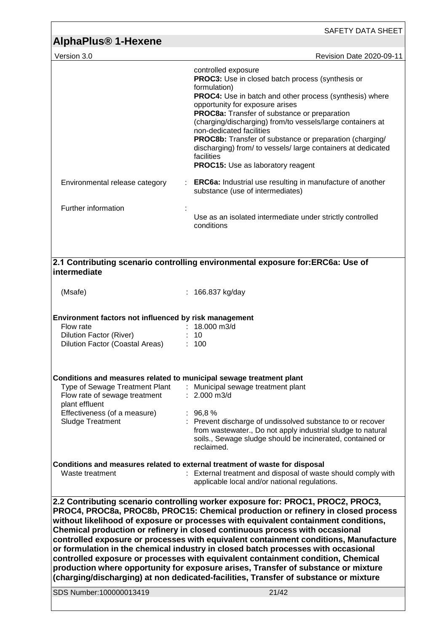|                                                                                                                                                                                                                                                                                                                                                                                                                                                                                                                                                                                                                                                                                                                                                                                                                               | SAFETY DATA SHEET                                                                                                                                                                                                                                                                                                                                                                                                                                                                                                                  |
|-------------------------------------------------------------------------------------------------------------------------------------------------------------------------------------------------------------------------------------------------------------------------------------------------------------------------------------------------------------------------------------------------------------------------------------------------------------------------------------------------------------------------------------------------------------------------------------------------------------------------------------------------------------------------------------------------------------------------------------------------------------------------------------------------------------------------------|------------------------------------------------------------------------------------------------------------------------------------------------------------------------------------------------------------------------------------------------------------------------------------------------------------------------------------------------------------------------------------------------------------------------------------------------------------------------------------------------------------------------------------|
| AlphaPlus <sup>®</sup> 1-Hexene                                                                                                                                                                                                                                                                                                                                                                                                                                                                                                                                                                                                                                                                                                                                                                                               |                                                                                                                                                                                                                                                                                                                                                                                                                                                                                                                                    |
| Version 3.0                                                                                                                                                                                                                                                                                                                                                                                                                                                                                                                                                                                                                                                                                                                                                                                                                   | Revision Date 2020-09-11                                                                                                                                                                                                                                                                                                                                                                                                                                                                                                           |
|                                                                                                                                                                                                                                                                                                                                                                                                                                                                                                                                                                                                                                                                                                                                                                                                                               | controlled exposure<br><b>PROC3:</b> Use in closed batch process (synthesis or<br>formulation)<br><b>PROC4:</b> Use in batch and other process (synthesis) where<br>opportunity for exposure arises<br>PROC8a: Transfer of substance or preparation<br>(charging/discharging) from/to vessels/large containers at<br>non-dedicated facilities<br><b>PROC8b:</b> Transfer of substance or preparation (charging/<br>discharging) from/ to vessels/ large containers at dedicated<br>facilities<br>PROC15: Use as laboratory reagent |
| Environmental release category<br>÷                                                                                                                                                                                                                                                                                                                                                                                                                                                                                                                                                                                                                                                                                                                                                                                           | <b>ERC6a:</b> Industrial use resulting in manufacture of another<br>substance (use of intermediates)                                                                                                                                                                                                                                                                                                                                                                                                                               |
| Further information                                                                                                                                                                                                                                                                                                                                                                                                                                                                                                                                                                                                                                                                                                                                                                                                           | Use as an isolated intermediate under strictly controlled<br>conditions                                                                                                                                                                                                                                                                                                                                                                                                                                                            |
| intermediate                                                                                                                                                                                                                                                                                                                                                                                                                                                                                                                                                                                                                                                                                                                                                                                                                  | 2.1 Contributing scenario controlling environmental exposure for:ERC6a: Use of                                                                                                                                                                                                                                                                                                                                                                                                                                                     |
| (Msafe)                                                                                                                                                                                                                                                                                                                                                                                                                                                                                                                                                                                                                                                                                                                                                                                                                       | : 166.837 kg/day                                                                                                                                                                                                                                                                                                                                                                                                                                                                                                                   |
| Environment factors not influenced by risk management<br>Flow rate<br>Dilution Factor (River)<br><b>Dilution Factor (Coastal Areas)</b>                                                                                                                                                                                                                                                                                                                                                                                                                                                                                                                                                                                                                                                                                       | 18,000 m3/d<br>10<br>100                                                                                                                                                                                                                                                                                                                                                                                                                                                                                                           |
| Conditions and measures related to municipal sewage treatment plant<br>Type of Sewage Treatment Plant<br>Flow rate of sewage treatment<br>plant effluent<br>Effectiveness (of a measure)<br><b>Sludge Treatment</b>                                                                                                                                                                                                                                                                                                                                                                                                                                                                                                                                                                                                           | Municipal sewage treatment plant<br>$2.000$ m $3/d$<br>: 96.8%<br>: Prevent discharge of undissolved substance to or recover<br>from wastewater., Do not apply industrial sludge to natural<br>soils., Sewage sludge should be incinerated, contained or<br>reclaimed.                                                                                                                                                                                                                                                             |
| Waste treatment                                                                                                                                                                                                                                                                                                                                                                                                                                                                                                                                                                                                                                                                                                                                                                                                               | Conditions and measures related to external treatment of waste for disposal<br>: External treatment and disposal of waste should comply with<br>applicable local and/or national regulations.                                                                                                                                                                                                                                                                                                                                      |
| 2.2 Contributing scenario controlling worker exposure for: PROC1, PROC2, PROC3,<br>PROC4, PROC8a, PROC8b, PROC15: Chemical production or refinery in closed process<br>without likelihood of exposure or processes with equivalent containment conditions,<br>Chemical production or refinery in closed continuous process with occasional<br>controlled exposure or processes with equivalent containment conditions, Manufacture<br>or formulation in the chemical industry in closed batch processes with occasional<br>controlled exposure or processes with equivalent containment condition, Chemical<br>production where opportunity for exposure arises, Transfer of substance or mixture<br>(charging/discharging) at non dedicated-facilities, Transfer of substance or mixture<br>21/42<br>SDS Number:100000013419 |                                                                                                                                                                                                                                                                                                                                                                                                                                                                                                                                    |
|                                                                                                                                                                                                                                                                                                                                                                                                                                                                                                                                                                                                                                                                                                                                                                                                                               |                                                                                                                                                                                                                                                                                                                                                                                                                                                                                                                                    |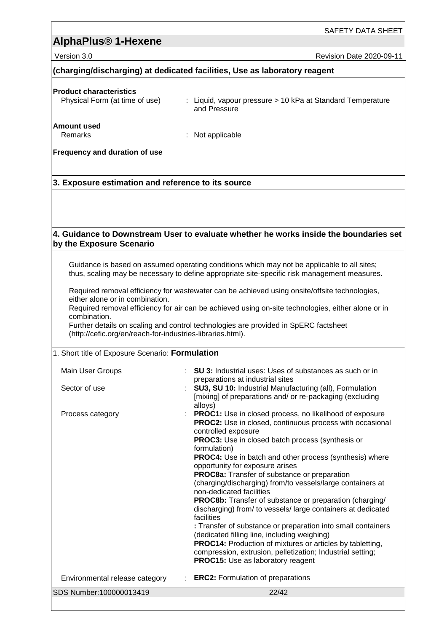Version 3.0 **New Search 2020-09-11** Revision Date 2020-09-11

SAFETY DATA SHEET

#### **(charging/discharging) at dedicated facilities, Use as laboratory reagent**

**Product characteristics**<br>Physical Form (at time of use)

 $\therefore$  Liquid, vapour pressure > 10 kPa at Standard Temperature and Pressure

# **Amount used**

: Not applicable

#### **Frequency and duration of use**

#### **3. Exposure estimation and reference to its source**

#### **4. Guidance to Downstream User to evaluate whether he works inside the boundaries set by the Exposure Scenario**

Guidance is based on assumed operating conditions which may not be applicable to all sites; thus, scaling may be necessary to define appropriate site-specific risk management measures.

Required removal efficiency for wastewater can be achieved using onsite/offsite technologies, either alone or in combination.

Required removal efficiency for air can be achieved using on-site technologies, either alone or in combination.

Further details on scaling and control technologies are provided in SpERC factsheet (http://cefic.org/en/reach-for-industries-libraries.html).

#### 1. Short title of Exposure Scenario: **Formulation**

| Main User Groups<br>Sector of use | : SU 3: Industrial uses: Uses of substances as such or in<br>preparations at industrial sites<br>: SU3, SU 10: Industrial Manufacturing (all), Formulation<br>[mixing] of preparations and/ or re-packaging (excluding<br>alloys)                                                                                                                                                                                                                                                                                                                                                                                                                                                                                                                                                                                                                                                                                                 |
|-----------------------------------|-----------------------------------------------------------------------------------------------------------------------------------------------------------------------------------------------------------------------------------------------------------------------------------------------------------------------------------------------------------------------------------------------------------------------------------------------------------------------------------------------------------------------------------------------------------------------------------------------------------------------------------------------------------------------------------------------------------------------------------------------------------------------------------------------------------------------------------------------------------------------------------------------------------------------------------|
| Process category                  | : PROC1: Use in closed process, no likelihood of exposure<br><b>PROC2:</b> Use in closed, continuous process with occasional<br>controlled exposure<br><b>PROC3:</b> Use in closed batch process (synthesis or<br>formulation)<br><b>PROC4:</b> Use in batch and other process (synthesis) where<br>opportunity for exposure arises<br><b>PROC8a:</b> Transfer of substance or preparation<br>(charging/discharging) from/to vessels/large containers at<br>non-dedicated facilities<br><b>PROC8b:</b> Transfer of substance or preparation (charging/<br>discharging) from/ to vessels/large containers at dedicated<br>facilities<br>: Transfer of substance or preparation into small containers<br>(dedicated filling line, including weighing)<br><b>PROC14:</b> Production of mixtures or articles by tabletting,<br>compression, extrusion, pelletization; Industrial setting;<br><b>PROC15:</b> Use as laboratory reagent |
| Environmental release category    | : <b>ERC2:</b> Formulation of preparations                                                                                                                                                                                                                                                                                                                                                                                                                                                                                                                                                                                                                                                                                                                                                                                                                                                                                        |
| SDS Number: 100000013419          | 22/42                                                                                                                                                                                                                                                                                                                                                                                                                                                                                                                                                                                                                                                                                                                                                                                                                                                                                                                             |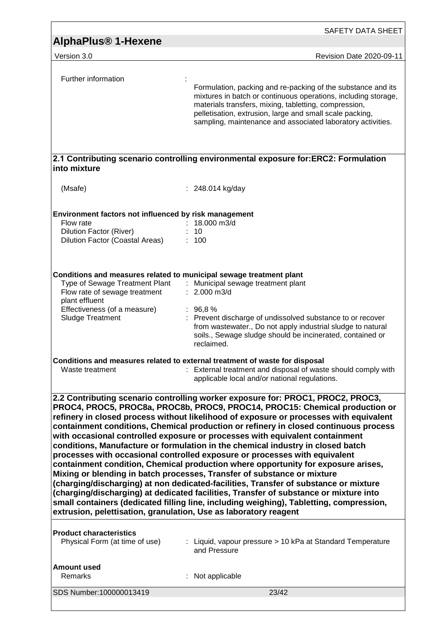|                                                                                                                                                                                                                                                                                                                                                                                                                                                                                                                                                                                                                                                                                                                                                                                                                                                                                                                                                                                                                                                                                                                   | SAFETY DATA SHEET                                                                                                                                                                                                                                                                                                  |  |
|-------------------------------------------------------------------------------------------------------------------------------------------------------------------------------------------------------------------------------------------------------------------------------------------------------------------------------------------------------------------------------------------------------------------------------------------------------------------------------------------------------------------------------------------------------------------------------------------------------------------------------------------------------------------------------------------------------------------------------------------------------------------------------------------------------------------------------------------------------------------------------------------------------------------------------------------------------------------------------------------------------------------------------------------------------------------------------------------------------------------|--------------------------------------------------------------------------------------------------------------------------------------------------------------------------------------------------------------------------------------------------------------------------------------------------------------------|--|
| <b>AlphaPlus<sup>®</sup> 1-Hexene</b>                                                                                                                                                                                                                                                                                                                                                                                                                                                                                                                                                                                                                                                                                                                                                                                                                                                                                                                                                                                                                                                                             |                                                                                                                                                                                                                                                                                                                    |  |
| Version 3.0                                                                                                                                                                                                                                                                                                                                                                                                                                                                                                                                                                                                                                                                                                                                                                                                                                                                                                                                                                                                                                                                                                       | Revision Date 2020-09-11                                                                                                                                                                                                                                                                                           |  |
| Further information                                                                                                                                                                                                                                                                                                                                                                                                                                                                                                                                                                                                                                                                                                                                                                                                                                                                                                                                                                                                                                                                                               | Formulation, packing and re-packing of the substance and its<br>mixtures in batch or continuous operations, including storage,<br>materials transfers, mixing, tabletting, compression,<br>pelletisation, extrusion, large and small scale packing,<br>sampling, maintenance and associated laboratory activities. |  |
| into mixture                                                                                                                                                                                                                                                                                                                                                                                                                                                                                                                                                                                                                                                                                                                                                                                                                                                                                                                                                                                                                                                                                                      | 2.1 Contributing scenario controlling environmental exposure for:ERC2: Formulation                                                                                                                                                                                                                                 |  |
| (Msafe)                                                                                                                                                                                                                                                                                                                                                                                                                                                                                                                                                                                                                                                                                                                                                                                                                                                                                                                                                                                                                                                                                                           | : 248.014 kg/day                                                                                                                                                                                                                                                                                                   |  |
| Environment factors not influenced by risk management<br>Flow rate<br><b>Dilution Factor (River)</b><br>Dilution Factor (Coastal Areas)                                                                                                                                                                                                                                                                                                                                                                                                                                                                                                                                                                                                                                                                                                                                                                                                                                                                                                                                                                           | 18,000 m3/d<br>10<br>: 100                                                                                                                                                                                                                                                                                         |  |
| Conditions and measures related to municipal sewage treatment plant<br>Type of Sewage Treatment Plant<br>Flow rate of sewage treatment<br>plant effluent<br>Effectiveness (of a measure)<br><b>Sludge Treatment</b>                                                                                                                                                                                                                                                                                                                                                                                                                                                                                                                                                                                                                                                                                                                                                                                                                                                                                               | Municipal sewage treatment plant<br>$: 2.000 \text{ m}$ 3/d<br>: 96,8%<br>: Prevent discharge of undissolved substance to or recover<br>from wastewater., Do not apply industrial sludge to natural<br>soils., Sewage sludge should be incinerated, contained or<br>reclaimed.                                     |  |
| Waste treatment                                                                                                                                                                                                                                                                                                                                                                                                                                                                                                                                                                                                                                                                                                                                                                                                                                                                                                                                                                                                                                                                                                   | Conditions and measures related to external treatment of waste for disposal<br>: External treatment and disposal of waste should comply with<br>applicable local and/or national regulations.                                                                                                                      |  |
| 2.2 Contributing scenario controlling worker exposure for: PROC1, PROC2, PROC3,<br>PROC4, PROC5, PROC8a, PROC8b, PROC9, PROC14, PROC15: Chemical production or<br>refinery in closed process without likelihood of exposure or processes with equivalent<br>containment conditions, Chemical production or refinery in closed continuous process<br>with occasional controlled exposure or processes with equivalent containment<br>conditions, Manufacture or formulation in the chemical industry in closed batch<br>processes with occasional controlled exposure or processes with equivalent<br>containment condition, Chemical production where opportunity for exposure arises,<br>Mixing or blending in batch processes, Transfer of substance or mixture<br>(charging/discharging) at non dedicated-facilities, Transfer of substance or mixture<br>(charging/discharging) at dedicated facilities, Transfer of substance or mixture into<br>small containers (dedicated filling line, including weighing), Tabletting, compression,<br>extrusion, pelettisation, granulation, Use as laboratory reagent |                                                                                                                                                                                                                                                                                                                    |  |
| <b>Product characteristics</b><br>Physical Form (at time of use)                                                                                                                                                                                                                                                                                                                                                                                                                                                                                                                                                                                                                                                                                                                                                                                                                                                                                                                                                                                                                                                  | : Liquid, vapour pressure > 10 kPa at Standard Temperature<br>and Pressure                                                                                                                                                                                                                                         |  |
| <b>Amount used</b><br>Remarks                                                                                                                                                                                                                                                                                                                                                                                                                                                                                                                                                                                                                                                                                                                                                                                                                                                                                                                                                                                                                                                                                     | Not applicable                                                                                                                                                                                                                                                                                                     |  |
| SDS Number:100000013419                                                                                                                                                                                                                                                                                                                                                                                                                                                                                                                                                                                                                                                                                                                                                                                                                                                                                                                                                                                                                                                                                           | 23/42                                                                                                                                                                                                                                                                                                              |  |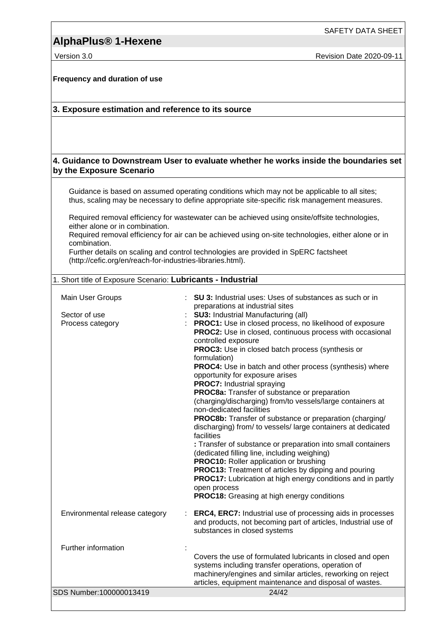Version 3.0 **CONFIDENTIAL CONFIDENTIAL CONFIDENTIAL CONFIDENTIAL CONFIDENTIAL CONFIDENTIAL CONFIDENTIAL CONFIDENTIAL CONFIDENTIAL CONFIDENTIAL CONFIDENTIAL CONFIDENTIAL CONFIDENTIAL CONFIDENTIAL CONFIDENTIAL CONFIDENTIAL C** 

#### **Frequency and duration of use**

#### **3. Exposure estimation and reference to its source**

#### **4. Guidance to Downstream User to evaluate whether he works inside the boundaries set by the Exposure Scenario**

Guidance is based on assumed operating conditions which may not be applicable to all sites; thus, scaling may be necessary to define appropriate site-specific risk management measures.

Required removal efficiency for wastewater can be achieved using onsite/offsite technologies, either alone or in combination.

Required removal efficiency for air can be achieved using on-site technologies, either alone or in combination.

Further details on scaling and control technologies are provided in SpERC factsheet (http://cefic.org/en/reach-for-industries-libraries.html).

#### 1. Short title of Exposure Scenario: **Lubricants - Industrial**

| Main User Groups                  | SU 3: Industrial uses: Uses of substances as such or in<br>preparations at industrial sites                                                                                                                                                                                                                                                                                                                                                                                                                                                                                                                                                                                                                                                                                                                                                                                                                        |
|-----------------------------------|--------------------------------------------------------------------------------------------------------------------------------------------------------------------------------------------------------------------------------------------------------------------------------------------------------------------------------------------------------------------------------------------------------------------------------------------------------------------------------------------------------------------------------------------------------------------------------------------------------------------------------------------------------------------------------------------------------------------------------------------------------------------------------------------------------------------------------------------------------------------------------------------------------------------|
|                                   |                                                                                                                                                                                                                                                                                                                                                                                                                                                                                                                                                                                                                                                                                                                                                                                                                                                                                                                    |
| Sector of use<br>Process category | <b>SU3: Industrial Manufacturing (all)</b><br>PROC1: Use in closed process, no likelihood of exposure<br>PROC2: Use in closed, continuous process with occasional<br>controlled exposure<br>PROC3: Use in closed batch process (synthesis or<br>formulation)<br>PROC4: Use in batch and other process (synthesis) where<br>opportunity for exposure arises<br><b>PROC7:</b> Industrial spraying<br>PROC8a: Transfer of substance or preparation<br>(charging/discharging) from/to vessels/large containers at<br>non-dedicated facilities<br>PROC8b: Transfer of substance or preparation (charging/<br>discharging) from/ to vessels/ large containers at dedicated<br>facilities<br>: Transfer of substance or preparation into small containers<br>(dedicated filling line, including weighing)<br><b>PROC10:</b> Roller application or brushing<br><b>PROC13:</b> Treatment of articles by dipping and pouring |
|                                   | <b>PROC17:</b> Lubrication at high energy conditions and in partly<br>open process<br><b>PROC18:</b> Greasing at high energy conditions                                                                                                                                                                                                                                                                                                                                                                                                                                                                                                                                                                                                                                                                                                                                                                            |
| Environmental release category    | <b>ERC4, ERC7:</b> Industrial use of processing aids in processes<br>and products, not becoming part of articles, Industrial use of<br>substances in closed systems                                                                                                                                                                                                                                                                                                                                                                                                                                                                                                                                                                                                                                                                                                                                                |
| Further information               |                                                                                                                                                                                                                                                                                                                                                                                                                                                                                                                                                                                                                                                                                                                                                                                                                                                                                                                    |
|                                   | Covers the use of formulated lubricants in closed and open<br>systems including transfer operations, operation of<br>machinery/engines and similar articles, reworking on reject<br>articles, equipment maintenance and disposal of wastes.                                                                                                                                                                                                                                                                                                                                                                                                                                                                                                                                                                                                                                                                        |
| SDS Number:100000013419           | 24/42                                                                                                                                                                                                                                                                                                                                                                                                                                                                                                                                                                                                                                                                                                                                                                                                                                                                                                              |
|                                   |                                                                                                                                                                                                                                                                                                                                                                                                                                                                                                                                                                                                                                                                                                                                                                                                                                                                                                                    |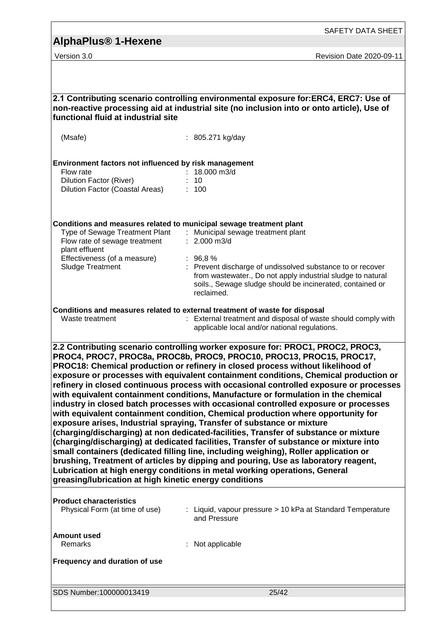| <b>AlphaPlus<sup>®</sup> 1-Hexene</b>                                                                                                                                                                                                                                                                                                                                                                                                                                                                                                                                                                                                                                                                                                                                                                                                                                                                                                                                                                                                                                                                                                                                                                                                                                          | SAFETY DATA SHEET                                                                                                                                                                                                                                                                |  |
|--------------------------------------------------------------------------------------------------------------------------------------------------------------------------------------------------------------------------------------------------------------------------------------------------------------------------------------------------------------------------------------------------------------------------------------------------------------------------------------------------------------------------------------------------------------------------------------------------------------------------------------------------------------------------------------------------------------------------------------------------------------------------------------------------------------------------------------------------------------------------------------------------------------------------------------------------------------------------------------------------------------------------------------------------------------------------------------------------------------------------------------------------------------------------------------------------------------------------------------------------------------------------------|----------------------------------------------------------------------------------------------------------------------------------------------------------------------------------------------------------------------------------------------------------------------------------|--|
| Version 3.0                                                                                                                                                                                                                                                                                                                                                                                                                                                                                                                                                                                                                                                                                                                                                                                                                                                                                                                                                                                                                                                                                                                                                                                                                                                                    | Revision Date 2020-09-11                                                                                                                                                                                                                                                         |  |
|                                                                                                                                                                                                                                                                                                                                                                                                                                                                                                                                                                                                                                                                                                                                                                                                                                                                                                                                                                                                                                                                                                                                                                                                                                                                                |                                                                                                                                                                                                                                                                                  |  |
| functional fluid at industrial site                                                                                                                                                                                                                                                                                                                                                                                                                                                                                                                                                                                                                                                                                                                                                                                                                                                                                                                                                                                                                                                                                                                                                                                                                                            | 2.1 Contributing scenario controlling environmental exposure for:ERC4, ERC7: Use of<br>non-reactive processing aid at industrial site (no inclusion into or onto article), Use of                                                                                                |  |
| (Msafe)                                                                                                                                                                                                                                                                                                                                                                                                                                                                                                                                                                                                                                                                                                                                                                                                                                                                                                                                                                                                                                                                                                                                                                                                                                                                        | : 805.271 kg/day                                                                                                                                                                                                                                                                 |  |
| Environment factors not influenced by risk management<br>Flow rate<br><b>Dilution Factor (River)</b><br>Dilution Factor (Coastal Areas)                                                                                                                                                                                                                                                                                                                                                                                                                                                                                                                                                                                                                                                                                                                                                                                                                                                                                                                                                                                                                                                                                                                                        | 18.000 m3/d<br>10<br>: 100                                                                                                                                                                                                                                                       |  |
| Conditions and measures related to municipal sewage treatment plant<br>Type of Sewage Treatment Plant<br>Flow rate of sewage treatment<br>plant effluent<br>Effectiveness (of a measure)<br><b>Sludge Treatment</b>                                                                                                                                                                                                                                                                                                                                                                                                                                                                                                                                                                                                                                                                                                                                                                                                                                                                                                                                                                                                                                                            | : Municipal sewage treatment plant<br>$: 2.000 \text{ m}$ 3/d<br>: 96,8%<br>: Prevent discharge of undissolved substance to or recover<br>from wastewater., Do not apply industrial sludge to natural<br>soils., Sewage sludge should be incinerated, contained or<br>reclaimed. |  |
| Waste treatment                                                                                                                                                                                                                                                                                                                                                                                                                                                                                                                                                                                                                                                                                                                                                                                                                                                                                                                                                                                                                                                                                                                                                                                                                                                                | Conditions and measures related to external treatment of waste for disposal<br>: External treatment and disposal of waste should comply with<br>applicable local and/or national regulations.                                                                                    |  |
| 2.2 Contributing scenario controlling worker exposure for: PROC1, PROC2, PROC3,<br>PROC4, PROC7, PROC8a, PROC8b, PROC9, PROC10, PROC13, PROC15, PROC17,<br>PROC18: Chemical production or refinery in closed process without likelihood of<br>exposure or processes with equivalent containment conditions, Chemical production or<br>refinery in closed continuous process with occasional controlled exposure or processes<br>with equivalent containment conditions, Manufacture or formulation in the chemical<br>industry in closed batch processes with occasional controlled exposure or processes<br>with equivalent containment condition, Chemical production where opportunity for<br>exposure arises, Industrial spraying, Transfer of substance or mixture<br>(charging/discharging) at non dedicated-facilities, Transfer of substance or mixture<br>(charging/discharging) at dedicated facilities, Transfer of substance or mixture into<br>small containers (dedicated filling line, including weighing), Roller application or<br>brushing, Treatment of articles by dipping and pouring, Use as laboratory reagent,<br>Lubrication at high energy conditions in metal working operations, General<br>greasing/lubrication at high kinetic energy conditions |                                                                                                                                                                                                                                                                                  |  |
| <b>Product characteristics</b><br>Physical Form (at time of use)                                                                                                                                                                                                                                                                                                                                                                                                                                                                                                                                                                                                                                                                                                                                                                                                                                                                                                                                                                                                                                                                                                                                                                                                               | : Liquid, vapour pressure > 10 kPa at Standard Temperature<br>and Pressure                                                                                                                                                                                                       |  |
| <b>Amount used</b><br>Remarks                                                                                                                                                                                                                                                                                                                                                                                                                                                                                                                                                                                                                                                                                                                                                                                                                                                                                                                                                                                                                                                                                                                                                                                                                                                  | : Not applicable                                                                                                                                                                                                                                                                 |  |
| Frequency and duration of use                                                                                                                                                                                                                                                                                                                                                                                                                                                                                                                                                                                                                                                                                                                                                                                                                                                                                                                                                                                                                                                                                                                                                                                                                                                  |                                                                                                                                                                                                                                                                                  |  |
| SDS Number:100000013419                                                                                                                                                                                                                                                                                                                                                                                                                                                                                                                                                                                                                                                                                                                                                                                                                                                                                                                                                                                                                                                                                                                                                                                                                                                        | 25/42                                                                                                                                                                                                                                                                            |  |

۱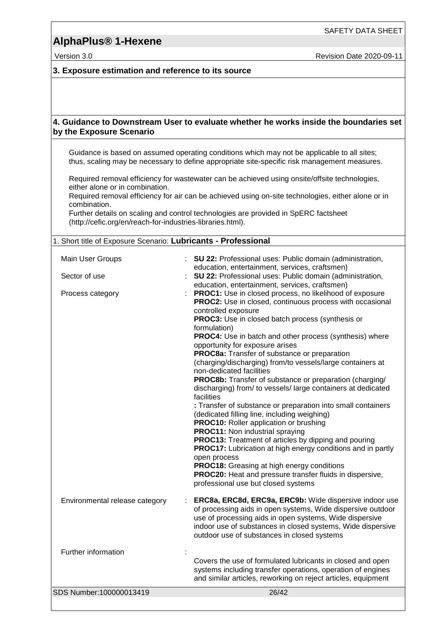Version 3.0 **CONFIDENTIAL CONFIDENTIAL CONFIDENTIAL CONFIDENTIAL CONFIDENTIAL CONFIDENTIAL CONFIDENTIAL CONFIDENTIAL CONFIDENTIAL CONFIDENTIAL CONFIDENTIAL CONFIDENTIAL CONFIDENTIAL CONFIDENTIAL CONFIDENTIAL CONFIDENTIAL C** 

#### **3. Exposure estimation and reference to its source**

#### **4. Guidance to Downstream User to evaluate whether he works inside the boundaries set by the Exposure Scenario**

Guidance is based on assumed operating conditions which may not be applicable to all sites; thus, scaling may be necessary to define appropriate site-specific risk management measures.

Required removal efficiency for wastewater can be achieved using onsite/offsite technologies, either alone or in combination.

Required removal efficiency for air can be achieved using on-site technologies, either alone or in combination.

Further details on scaling and control technologies are provided in SpERC factsheet (http://cefic.org/en/reach-for-industries-libraries.html).

#### 1. Short title of Exposure Scenario: **Lubricants - Professional**

| Main User Groups               | SU 22: Professional uses: Public domain (administration,                                                                                                                                                                                                                                                                                                                                                                                                                                                                                                                                                                                                                                                                                                                                                                                                                                                                                                                                                                                                                                                  |
|--------------------------------|-----------------------------------------------------------------------------------------------------------------------------------------------------------------------------------------------------------------------------------------------------------------------------------------------------------------------------------------------------------------------------------------------------------------------------------------------------------------------------------------------------------------------------------------------------------------------------------------------------------------------------------------------------------------------------------------------------------------------------------------------------------------------------------------------------------------------------------------------------------------------------------------------------------------------------------------------------------------------------------------------------------------------------------------------------------------------------------------------------------|
| Sector of use                  | education, entertainment, services, craftsmen)<br>SU 22: Professional uses: Public domain (administration,<br>education, entertainment, services, craftsmen)                                                                                                                                                                                                                                                                                                                                                                                                                                                                                                                                                                                                                                                                                                                                                                                                                                                                                                                                              |
| Process category               | PROC1: Use in closed process, no likelihood of exposure<br>PROC2: Use in closed, continuous process with occasional<br>controlled exposure<br>PROC3: Use in closed batch process (synthesis or<br>formulation)<br>PROC4: Use in batch and other process (synthesis) where<br>opportunity for exposure arises<br>PROC8a: Transfer of substance or preparation<br>(charging/discharging) from/to vessels/large containers at<br>non-dedicated facilities<br><b>PROC8b:</b> Transfer of substance or preparation (charging/<br>discharging) from/ to vessels/ large containers at dedicated<br>facilities<br>: Transfer of substance or preparation into small containers<br>(dedicated filling line, including weighing)<br><b>PROC10:</b> Roller application or brushing<br>PROC11: Non industrial spraying<br><b>PROC13:</b> Treatment of articles by dipping and pouring<br>PROC17: Lubrication at high energy conditions and in partly<br>open process<br>PROC18: Greasing at high energy conditions<br>PROC20: Heat and pressure transfer fluids in dispersive,<br>professional use but closed systems |
| Environmental release category | ERC8a, ERC8d, ERC9a, ERC9b: Wide dispersive indoor use<br>of processing aids in open systems, Wide dispersive outdoor<br>use of processing aids in open systems, Wide dispersive<br>indoor use of substances in closed systems, Wide dispersive<br>outdoor use of substances in closed systems                                                                                                                                                                                                                                                                                                                                                                                                                                                                                                                                                                                                                                                                                                                                                                                                            |
| Further information            |                                                                                                                                                                                                                                                                                                                                                                                                                                                                                                                                                                                                                                                                                                                                                                                                                                                                                                                                                                                                                                                                                                           |
|                                | Covers the use of formulated lubricants in closed and open<br>systems including transfer operations, operation of engines<br>and similar articles, reworking on reject articles, equipment                                                                                                                                                                                                                                                                                                                                                                                                                                                                                                                                                                                                                                                                                                                                                                                                                                                                                                                |
| SDS Number:100000013419        | 26/42                                                                                                                                                                                                                                                                                                                                                                                                                                                                                                                                                                                                                                                                                                                                                                                                                                                                                                                                                                                                                                                                                                     |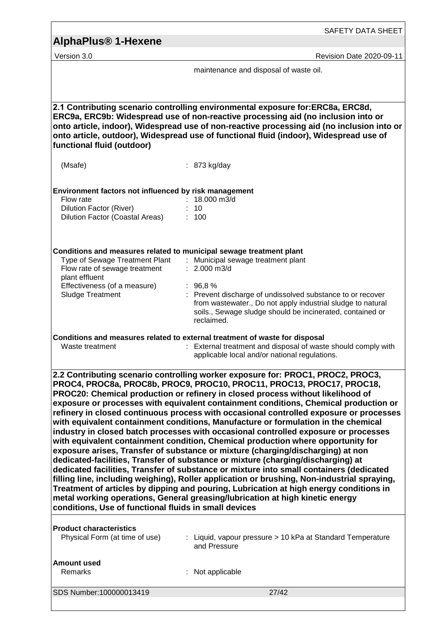|                                                                                                                                                                                                                                                                                                                                                                                                                                                                                                                                                                                                                                                                                                                                                                                                                                                                                                                                                                                                                                                                                                                                                                                                                                                                                                     | SAFETY DATA SHEET                                                                                                                                                                                                                                                                                                                                           |  |
|-----------------------------------------------------------------------------------------------------------------------------------------------------------------------------------------------------------------------------------------------------------------------------------------------------------------------------------------------------------------------------------------------------------------------------------------------------------------------------------------------------------------------------------------------------------------------------------------------------------------------------------------------------------------------------------------------------------------------------------------------------------------------------------------------------------------------------------------------------------------------------------------------------------------------------------------------------------------------------------------------------------------------------------------------------------------------------------------------------------------------------------------------------------------------------------------------------------------------------------------------------------------------------------------------------|-------------------------------------------------------------------------------------------------------------------------------------------------------------------------------------------------------------------------------------------------------------------------------------------------------------------------------------------------------------|--|
| <b>AlphaPlus<sup>®</sup> 1-Hexene</b>                                                                                                                                                                                                                                                                                                                                                                                                                                                                                                                                                                                                                                                                                                                                                                                                                                                                                                                                                                                                                                                                                                                                                                                                                                                               |                                                                                                                                                                                                                                                                                                                                                             |  |
| Version 3.0                                                                                                                                                                                                                                                                                                                                                                                                                                                                                                                                                                                                                                                                                                                                                                                                                                                                                                                                                                                                                                                                                                                                                                                                                                                                                         | Revision Date 2020-09-11                                                                                                                                                                                                                                                                                                                                    |  |
|                                                                                                                                                                                                                                                                                                                                                                                                                                                                                                                                                                                                                                                                                                                                                                                                                                                                                                                                                                                                                                                                                                                                                                                                                                                                                                     | maintenance and disposal of waste oil.                                                                                                                                                                                                                                                                                                                      |  |
|                                                                                                                                                                                                                                                                                                                                                                                                                                                                                                                                                                                                                                                                                                                                                                                                                                                                                                                                                                                                                                                                                                                                                                                                                                                                                                     |                                                                                                                                                                                                                                                                                                                                                             |  |
|                                                                                                                                                                                                                                                                                                                                                                                                                                                                                                                                                                                                                                                                                                                                                                                                                                                                                                                                                                                                                                                                                                                                                                                                                                                                                                     |                                                                                                                                                                                                                                                                                                                                                             |  |
| functional fluid (outdoor)                                                                                                                                                                                                                                                                                                                                                                                                                                                                                                                                                                                                                                                                                                                                                                                                                                                                                                                                                                                                                                                                                                                                                                                                                                                                          | 2.1 Contributing scenario controlling environmental exposure for:ERC8a, ERC8d,<br>ERC9a, ERC9b: Widespread use of non-reactive processing aid (no inclusion into or<br>onto article, indoor), Widespread use of non-reactive processing aid (no inclusion into or<br>onto article, outdoor), Widespread use of functional fluid (indoor), Widespread use of |  |
| (Msafe)                                                                                                                                                                                                                                                                                                                                                                                                                                                                                                                                                                                                                                                                                                                                                                                                                                                                                                                                                                                                                                                                                                                                                                                                                                                                                             | : 873 kg/day                                                                                                                                                                                                                                                                                                                                                |  |
| Environment factors not influenced by risk management<br>Flow rate<br><b>Dilution Factor (River)</b><br>Dilution Factor (Coastal Areas)                                                                                                                                                                                                                                                                                                                                                                                                                                                                                                                                                                                                                                                                                                                                                                                                                                                                                                                                                                                                                                                                                                                                                             | 18.000 m3/d<br>10<br>: 100                                                                                                                                                                                                                                                                                                                                  |  |
| Conditions and measures related to municipal sewage treatment plant<br>Type of Sewage Treatment Plant<br>Flow rate of sewage treatment<br>÷<br>plant effluent                                                                                                                                                                                                                                                                                                                                                                                                                                                                                                                                                                                                                                                                                                                                                                                                                                                                                                                                                                                                                                                                                                                                       | : Municipal sewage treatment plant<br>2.000 m3/d                                                                                                                                                                                                                                                                                                            |  |
| Effectiveness (of a measure)<br>Sludge Treatment                                                                                                                                                                                                                                                                                                                                                                                                                                                                                                                                                                                                                                                                                                                                                                                                                                                                                                                                                                                                                                                                                                                                                                                                                                                    | : 96.8%<br>: Prevent discharge of undissolved substance to or recover<br>from wastewater., Do not apply industrial sludge to natural<br>soils., Sewage sludge should be incinerated, contained or<br>reclaimed.                                                                                                                                             |  |
| Conditions and measures related to external treatment of waste for disposal<br>Waste treatment                                                                                                                                                                                                                                                                                                                                                                                                                                                                                                                                                                                                                                                                                                                                                                                                                                                                                                                                                                                                                                                                                                                                                                                                      | : External treatment and disposal of waste should comply with<br>applicable local and/or national regulations.                                                                                                                                                                                                                                              |  |
| 2.2 Contributing scenario controlling worker exposure for: PROC1, PROC2, PROC3,<br>PROC4, PROC8a, PROC8b, PROC9, PROC10, PROC11, PROC13, PROC17, PROC18,<br>PROC20: Chemical production or refinery in closed process without likelihood of<br>exposure or processes with equivalent containment conditions, Chemical production or<br>refinery in closed continuous process with occasional controlled exposure or processes<br>with equivalent containment conditions, Manufacture or formulation in the chemical<br>industry in closed batch processes with occasional controlled exposure or processes<br>with equivalent containment condition, Chemical production where opportunity for<br>exposure arises, Transfer of substance or mixture (charging/discharging) at non<br>dedicated-facilities, Transfer of substance or mixture (charging/discharging) at<br>dedicated facilities, Transfer of substance or mixture into small containers (dedicated<br>filling line, including weighing), Roller application or brushing, Non-industrial spraying,<br>Treatment of articles by dipping and pouring, Lubrication at high energy conditions in<br>metal working operations, General greasing/lubrication at high kinetic energy<br>conditions, Use of functional fluids in small devices |                                                                                                                                                                                                                                                                                                                                                             |  |
| <b>Product characteristics</b><br>Physical Form (at time of use)                                                                                                                                                                                                                                                                                                                                                                                                                                                                                                                                                                                                                                                                                                                                                                                                                                                                                                                                                                                                                                                                                                                                                                                                                                    | : Liquid, vapour pressure > 10 kPa at Standard Temperature<br>and Pressure                                                                                                                                                                                                                                                                                  |  |
| <b>Amount used</b><br>Remarks                                                                                                                                                                                                                                                                                                                                                                                                                                                                                                                                                                                                                                                                                                                                                                                                                                                                                                                                                                                                                                                                                                                                                                                                                                                                       | : Not applicable                                                                                                                                                                                                                                                                                                                                            |  |
| SDS Number:100000013419                                                                                                                                                                                                                                                                                                                                                                                                                                                                                                                                                                                                                                                                                                                                                                                                                                                                                                                                                                                                                                                                                                                                                                                                                                                                             | 27/42                                                                                                                                                                                                                                                                                                                                                       |  |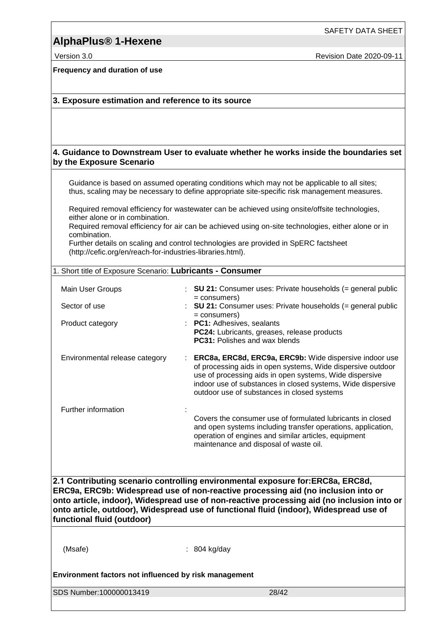SAFETY DATA SHEET

### **AlphaPlus® 1-Hexene**

Version 3.0 Revision Date 2020-09-11

**Frequency and duration of use**

#### **3. Exposure estimation and reference to its source**

#### **4. Guidance to Downstream User to evaluate whether he works inside the boundaries set by the Exposure Scenario**

Guidance is based on assumed operating conditions which may not be applicable to all sites; thus, scaling may be necessary to define appropriate site-specific risk management measures.

Required removal efficiency for wastewater can be achieved using onsite/offsite technologies, either alone or in combination.

Required removal efficiency for air can be achieved using on-site technologies, either alone or in combination.

Further details on scaling and control technologies are provided in SpERC factsheet (http://cefic.org/en/reach-for-industries-libraries.html).

#### 1. Short title of Exposure Scenario: **Lubricants - Consumer**

| Main User Groups               | : SU 21: Consumer uses: Private households $(=$ general public<br>$=$ consumers)                                                                                                                                                                                                                 |
|--------------------------------|--------------------------------------------------------------------------------------------------------------------------------------------------------------------------------------------------------------------------------------------------------------------------------------------------|
| Sector of use                  | : $SU 21$ : Consumer uses: Private households (= general public<br>= consumers)                                                                                                                                                                                                                  |
| Product category               | : PC1: Adhesives, sealants                                                                                                                                                                                                                                                                       |
|                                | PC24: Lubricants, greases, release products                                                                                                                                                                                                                                                      |
|                                | <b>PC31:</b> Polishes and wax blends                                                                                                                                                                                                                                                             |
| Environmental release category | : ERC8a, ERC8d, ERC9a, ERC9b: Wide dispersive indoor use<br>of processing aids in open systems, Wide dispersive outdoor<br>use of processing aids in open systems, Wide dispersive<br>indoor use of substances in closed systems, Wide dispersive<br>outdoor use of substances in closed systems |
| Further information            |                                                                                                                                                                                                                                                                                                  |
|                                | Covers the consumer use of formulated lubricants in closed<br>and open systems including transfer operations, application,<br>operation of engines and similar articles, equipment                                                                                                               |

**2.1 Contributing scenario controlling environmental exposure for:ERC8a, ERC8d, ERC9a, ERC9b: Widespread use of non-reactive processing aid (no inclusion into or onto article, indoor), Widespread use of non-reactive processing aid (no inclusion into or onto article, outdoor), Widespread use of functional fluid (indoor), Widespread use of functional fluid (outdoor)**

maintenance and disposal of waste oil.

(Msafe) : 804 kg/day

**Environment factors not influenced by risk management**

SDS Number:100000013419 28/42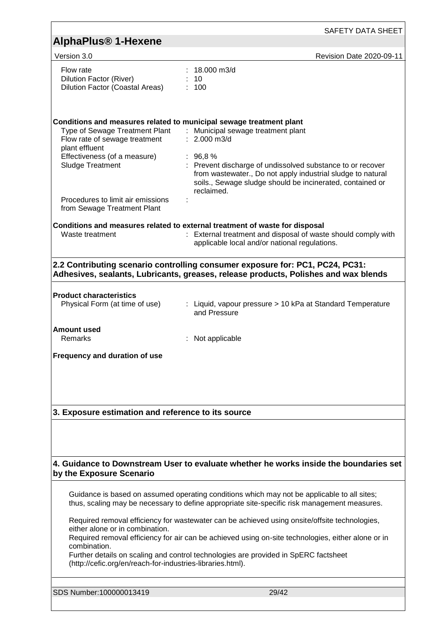| <b>AlphaPlus<sup>®</sup> 1-Hexene</b>                                                                                                                                                                                                                                                                                                                                                                       | SAFETY DATA SHEET                                                                                                                                                                                                                                                                                                                                                                                                                                                                                                |  |
|-------------------------------------------------------------------------------------------------------------------------------------------------------------------------------------------------------------------------------------------------------------------------------------------------------------------------------------------------------------------------------------------------------------|------------------------------------------------------------------------------------------------------------------------------------------------------------------------------------------------------------------------------------------------------------------------------------------------------------------------------------------------------------------------------------------------------------------------------------------------------------------------------------------------------------------|--|
| Version 3.0                                                                                                                                                                                                                                                                                                                                                                                                 | <b>Revision Date 2020-09-11</b>                                                                                                                                                                                                                                                                                                                                                                                                                                                                                  |  |
| Flow rate<br><b>Dilution Factor (River)</b><br>Dilution Factor (Coastal Areas)                                                                                                                                                                                                                                                                                                                              | 18.000 m3/d<br>: 10<br>: 100                                                                                                                                                                                                                                                                                                                                                                                                                                                                                     |  |
| Conditions and measures related to municipal sewage treatment plant<br>Flow rate of sewage treatment<br>plant effluent<br>Effectiveness (of a measure)<br><b>Sludge Treatment</b><br>Procedures to limit air emissions<br>from Sewage Treatment Plant<br>Waste treatment                                                                                                                                    | Type of Sewage Treatment Plant : Municipal sewage treatment plant<br>$: 2.000 \text{ m}$ 3/d<br>: 96,8%<br>: Prevent discharge of undissolved substance to or recover<br>from wastewater., Do not apply industrial sludge to natural<br>soils., Sewage sludge should be incinerated, contained or<br>reclaimed.<br>Conditions and measures related to external treatment of waste for disposal<br>: External treatment and disposal of waste should comply with<br>applicable local and/or national regulations. |  |
|                                                                                                                                                                                                                                                                                                                                                                                                             | 2.2 Contributing scenario controlling consumer exposure for: PC1, PC24, PC31:                                                                                                                                                                                                                                                                                                                                                                                                                                    |  |
|                                                                                                                                                                                                                                                                                                                                                                                                             | Adhesives, sealants, Lubricants, greases, release products, Polishes and wax blends                                                                                                                                                                                                                                                                                                                                                                                                                              |  |
| <b>Product characteristics</b><br>Physical Form (at time of use)                                                                                                                                                                                                                                                                                                                                            | : Liquid, vapour pressure > 10 kPa at Standard Temperature<br>and Pressure                                                                                                                                                                                                                                                                                                                                                                                                                                       |  |
| <b>Amount used</b><br>Remarks                                                                                                                                                                                                                                                                                                                                                                               | Not applicable                                                                                                                                                                                                                                                                                                                                                                                                                                                                                                   |  |
| <b>Frequency and duration of use</b>                                                                                                                                                                                                                                                                                                                                                                        |                                                                                                                                                                                                                                                                                                                                                                                                                                                                                                                  |  |
|                                                                                                                                                                                                                                                                                                                                                                                                             |                                                                                                                                                                                                                                                                                                                                                                                                                                                                                                                  |  |
| 3. Exposure estimation and reference to its source                                                                                                                                                                                                                                                                                                                                                          |                                                                                                                                                                                                                                                                                                                                                                                                                                                                                                                  |  |
|                                                                                                                                                                                                                                                                                                                                                                                                             |                                                                                                                                                                                                                                                                                                                                                                                                                                                                                                                  |  |
|                                                                                                                                                                                                                                                                                                                                                                                                             |                                                                                                                                                                                                                                                                                                                                                                                                                                                                                                                  |  |
| 4. Guidance to Downstream User to evaluate whether he works inside the boundaries set<br>by the Exposure Scenario                                                                                                                                                                                                                                                                                           |                                                                                                                                                                                                                                                                                                                                                                                                                                                                                                                  |  |
| Guidance is based on assumed operating conditions which may not be applicable to all sites;<br>thus, scaling may be necessary to define appropriate site-specific risk management measures.                                                                                                                                                                                                                 |                                                                                                                                                                                                                                                                                                                                                                                                                                                                                                                  |  |
| Required removal efficiency for wastewater can be achieved using onsite/offsite technologies,<br>either alone or in combination.<br>Required removal efficiency for air can be achieved using on-site technologies, either alone or in<br>combination.<br>Further details on scaling and control technologies are provided in SpERC factsheet<br>(http://cefic.org/en/reach-for-industries-libraries.html). |                                                                                                                                                                                                                                                                                                                                                                                                                                                                                                                  |  |
| SDS Number:100000013419                                                                                                                                                                                                                                                                                                                                                                                     | 29/42                                                                                                                                                                                                                                                                                                                                                                                                                                                                                                            |  |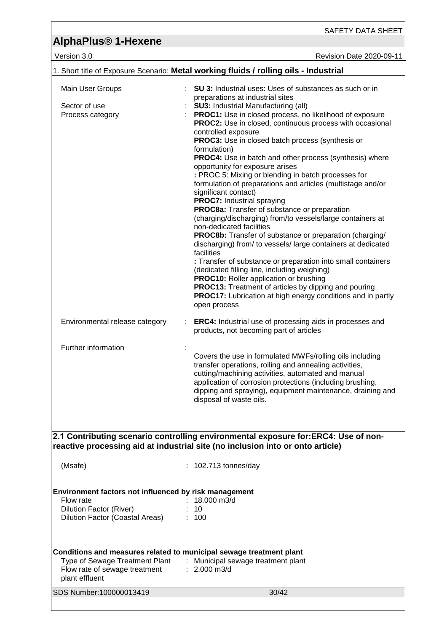version 3.0 Revision Date 2020-09-11

|                                                                     | 1. Short title of Exposure Scenario: Metal working fluids / rolling oils - Industrial                 |
|---------------------------------------------------------------------|-------------------------------------------------------------------------------------------------------|
|                                                                     |                                                                                                       |
| Main User Groups                                                    | <b>SU 3:</b> Industrial uses: Uses of substances as such or in                                        |
|                                                                     | preparations at industrial sites                                                                      |
| Sector of use<br>Process category                                   | <b>SU3: Industrial Manufacturing (all)</b><br>PROC1: Use in closed process, no likelihood of exposure |
|                                                                     | <b>PROC2:</b> Use in closed, continuous process with occasional                                       |
|                                                                     | controlled exposure                                                                                   |
|                                                                     | PROC3: Use in closed batch process (synthesis or                                                      |
|                                                                     | formulation)                                                                                          |
|                                                                     | <b>PROC4:</b> Use in batch and other process (synthesis) where                                        |
|                                                                     | opportunity for exposure arises                                                                       |
|                                                                     | : PROC 5: Mixing or blending in batch processes for                                                   |
|                                                                     | formulation of preparations and articles (multistage and/or                                           |
|                                                                     | significant contact)                                                                                  |
|                                                                     | <b>PROC7:</b> Industrial spraying                                                                     |
|                                                                     | PROC8a: Transfer of substance or preparation                                                          |
|                                                                     | (charging/discharging) from/to vessels/large containers at                                            |
|                                                                     | non-dedicated facilities                                                                              |
|                                                                     | <b>PROC8b:</b> Transfer of substance or preparation (charging/                                        |
|                                                                     | discharging) from/ to vessels/ large containers at dedicated                                          |
|                                                                     | facilities                                                                                            |
|                                                                     | : Transfer of substance or preparation into small containers                                          |
|                                                                     | (dedicated filling line, including weighing)                                                          |
|                                                                     | <b>PROC10:</b> Roller application or brushing                                                         |
|                                                                     | <b>PROC13:</b> Treatment of articles by dipping and pouring                                           |
|                                                                     | <b>PROC17:</b> Lubrication at high energy conditions and in partly                                    |
|                                                                     | open process                                                                                          |
|                                                                     |                                                                                                       |
| Environmental release category                                      | <b>ERC4:</b> Industrial use of processing aids in processes and                                       |
|                                                                     | products, not becoming part of articles                                                               |
| Further information                                                 |                                                                                                       |
|                                                                     | Covers the use in formulated MWFs/rolling oils including                                              |
|                                                                     | transfer operations, rolling and annealing activities,                                                |
|                                                                     | cutting/machining activities, automated and manual                                                    |
|                                                                     | application of corrosion protections (including brushing,                                             |
|                                                                     | dipping and spraying), equipment maintenance, draining and                                            |
|                                                                     | disposal of waste oils.                                                                               |
|                                                                     |                                                                                                       |
|                                                                     |                                                                                                       |
|                                                                     |                                                                                                       |
|                                                                     | 2.1 Contributing scenario controlling environmental exposure for:ERC4: Use of non-                    |
|                                                                     | reactive processing aid at industrial site (no inclusion into or onto article)                        |
|                                                                     |                                                                                                       |
| (Msafe)                                                             | $: 102.713$ tonnes/day                                                                                |
|                                                                     |                                                                                                       |
| Environment factors not influenced by risk management               |                                                                                                       |
| Flow rate                                                           | 18.000 m3/d                                                                                           |
| Dilution Factor (River)                                             | 10                                                                                                    |
| Dilution Factor (Coastal Areas)                                     | : 100                                                                                                 |
|                                                                     |                                                                                                       |
|                                                                     |                                                                                                       |
|                                                                     |                                                                                                       |
| Conditions and measures related to municipal sewage treatment plant |                                                                                                       |
| Type of Sewage Treatment Plant : Municipal sewage treatment plant   |                                                                                                       |
| Flow rate of sewage treatment                                       | $: 2.000 \text{ m}$ 3/d                                                                               |
| plant effluent                                                      |                                                                                                       |
| SDS Number:100000013419                                             | 30/42                                                                                                 |
|                                                                     |                                                                                                       |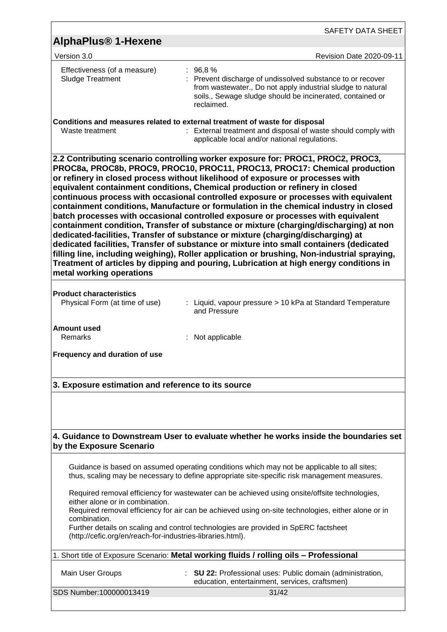|                                                                                                               | SAFETY DATA SHEET                                                                                                                                                                                                                                                                                                                                                                                                                                                                                                                                                                                                                                                                                                                                                                                                                                                                                                                                                                                                                                                    |
|---------------------------------------------------------------------------------------------------------------|----------------------------------------------------------------------------------------------------------------------------------------------------------------------------------------------------------------------------------------------------------------------------------------------------------------------------------------------------------------------------------------------------------------------------------------------------------------------------------------------------------------------------------------------------------------------------------------------------------------------------------------------------------------------------------------------------------------------------------------------------------------------------------------------------------------------------------------------------------------------------------------------------------------------------------------------------------------------------------------------------------------------------------------------------------------------|
| AlphaPlus <sup>®</sup> 1-Hexene                                                                               |                                                                                                                                                                                                                                                                                                                                                                                                                                                                                                                                                                                                                                                                                                                                                                                                                                                                                                                                                                                                                                                                      |
| Version 3.0                                                                                                   | <b>Revision Date 2020-09-11</b>                                                                                                                                                                                                                                                                                                                                                                                                                                                                                                                                                                                                                                                                                                                                                                                                                                                                                                                                                                                                                                      |
| Effectiveness (of a measure)<br><b>Sludge Treatment</b>                                                       | : 96,8%<br>: Prevent discharge of undissolved substance to or recover<br>from wastewater., Do not apply industrial sludge to natural<br>soils., Sewage sludge should be incinerated, contained or<br>reclaimed.                                                                                                                                                                                                                                                                                                                                                                                                                                                                                                                                                                                                                                                                                                                                                                                                                                                      |
| Waste treatment                                                                                               | Conditions and measures related to external treatment of waste for disposal<br>: External treatment and disposal of waste should comply with<br>applicable local and/or national regulations.                                                                                                                                                                                                                                                                                                                                                                                                                                                                                                                                                                                                                                                                                                                                                                                                                                                                        |
| metal working operations                                                                                      | 2.2 Contributing scenario controlling worker exposure for: PROC1, PROC2, PROC3,<br>PROC8a, PROC8b, PROC9, PROC10, PROC11, PROC13, PROC17: Chemical production<br>or refinery in closed process without likelihood of exposure or processes with<br>equivalent containment conditions, Chemical production or refinery in closed<br>continuous process with occasional controlled exposure or processes with equivalent<br>containment conditions, Manufacture or formulation in the chemical industry in closed<br>batch processes with occasional controlled exposure or processes with equivalent<br>containment condition, Transfer of substance or mixture (charging/discharging) at non<br>dedicated-facilities, Transfer of substance or mixture (charging/discharging) at<br>dedicated facilities, Transfer of substance or mixture into small containers (dedicated<br>filling line, including weighing), Roller application or brushing, Non-industrial spraying,<br>Treatment of articles by dipping and pouring, Lubrication at high energy conditions in |
| <b>Product characteristics</b><br>Physical Form (at time of use)                                              | : Liquid, vapour pressure > 10 kPa at Standard Temperature<br>and Pressure                                                                                                                                                                                                                                                                                                                                                                                                                                                                                                                                                                                                                                                                                                                                                                                                                                                                                                                                                                                           |
| <b>Amount used</b><br>Remarks                                                                                 | Not applicable                                                                                                                                                                                                                                                                                                                                                                                                                                                                                                                                                                                                                                                                                                                                                                                                                                                                                                                                                                                                                                                       |
| Frequency and duration of use                                                                                 |                                                                                                                                                                                                                                                                                                                                                                                                                                                                                                                                                                                                                                                                                                                                                                                                                                                                                                                                                                                                                                                                      |
| 3. Exposure estimation and reference to its source                                                            |                                                                                                                                                                                                                                                                                                                                                                                                                                                                                                                                                                                                                                                                                                                                                                                                                                                                                                                                                                                                                                                                      |
| by the Exposure Scenario                                                                                      | 4. Guidance to Downstream User to evaluate whether he works inside the boundaries set                                                                                                                                                                                                                                                                                                                                                                                                                                                                                                                                                                                                                                                                                                                                                                                                                                                                                                                                                                                |
| either alone or in combination.<br>combination.<br>(http://cefic.org/en/reach-for-industries-libraries.html). | Guidance is based on assumed operating conditions which may not be applicable to all sites;<br>thus, scaling may be necessary to define appropriate site-specific risk management measures.<br>Required removal efficiency for wastewater can be achieved using onsite/offsite technologies,<br>Required removal efficiency for air can be achieved using on-site technologies, either alone or in<br>Further details on scaling and control technologies are provided in SpERC factsheet                                                                                                                                                                                                                                                                                                                                                                                                                                                                                                                                                                            |
|                                                                                                               | 1. Short title of Exposure Scenario: Metal working fluids / rolling oils - Professional                                                                                                                                                                                                                                                                                                                                                                                                                                                                                                                                                                                                                                                                                                                                                                                                                                                                                                                                                                              |
| Main User Groups                                                                                              | SU 22: Professional uses: Public domain (administration,<br>education, entertainment, services, craftsmen)                                                                                                                                                                                                                                                                                                                                                                                                                                                                                                                                                                                                                                                                                                                                                                                                                                                                                                                                                           |
| SDS Number: 100000013419                                                                                      | 31/42                                                                                                                                                                                                                                                                                                                                                                                                                                                                                                                                                                                                                                                                                                                                                                                                                                                                                                                                                                                                                                                                |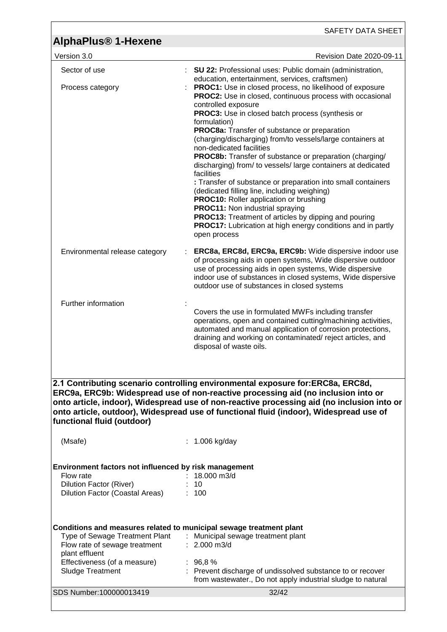|                                                                                                                                                                            | SAFETY DATA SHEET                                                                                                                                                                                                                                                                                                                                                                                                                                                                                                                                                                                                                                                                                                                                                                                                                                                                                                   |
|----------------------------------------------------------------------------------------------------------------------------------------------------------------------------|---------------------------------------------------------------------------------------------------------------------------------------------------------------------------------------------------------------------------------------------------------------------------------------------------------------------------------------------------------------------------------------------------------------------------------------------------------------------------------------------------------------------------------------------------------------------------------------------------------------------------------------------------------------------------------------------------------------------------------------------------------------------------------------------------------------------------------------------------------------------------------------------------------------------|
| <b>AlphaPlus<sup>®</sup> 1-Hexene</b>                                                                                                                                      |                                                                                                                                                                                                                                                                                                                                                                                                                                                                                                                                                                                                                                                                                                                                                                                                                                                                                                                     |
| Version 3.0                                                                                                                                                                | Revision Date 2020-09-11                                                                                                                                                                                                                                                                                                                                                                                                                                                                                                                                                                                                                                                                                                                                                                                                                                                                                            |
| Sector of use                                                                                                                                                              | SU 22: Professional uses: Public domain (administration,                                                                                                                                                                                                                                                                                                                                                                                                                                                                                                                                                                                                                                                                                                                                                                                                                                                            |
| Process category                                                                                                                                                           | education, entertainment, services, craftsmen)<br>PROC1: Use in closed process, no likelihood of exposure<br>PROC2: Use in closed, continuous process with occasional<br>controlled exposure<br>PROC3: Use in closed batch process (synthesis or<br>formulation)<br>PROC8a: Transfer of substance or preparation<br>(charging/discharging) from/to vessels/large containers at<br>non-dedicated facilities<br><b>PROC8b:</b> Transfer of substance or preparation (charging/<br>discharging) from/ to vessels/ large containers at dedicated<br>facilities<br>: Transfer of substance or preparation into small containers<br>(dedicated filling line, including weighing)<br><b>PROC10:</b> Roller application or brushing<br><b>PROC11:</b> Non industrial spraying<br><b>PROC13:</b> Treatment of articles by dipping and pouring<br>PROC17: Lubrication at high energy conditions and in partly<br>open process |
| Environmental release category                                                                                                                                             | ERC8a, ERC8d, ERC9a, ERC9b: Wide dispersive indoor use<br>of processing aids in open systems, Wide dispersive outdoor<br>use of processing aids in open systems, Wide dispersive<br>indoor use of substances in closed systems, Wide dispersive<br>outdoor use of substances in closed systems                                                                                                                                                                                                                                                                                                                                                                                                                                                                                                                                                                                                                      |
| Further information                                                                                                                                                        | Covers the use in formulated MWFs including transfer<br>operations, open and contained cutting/machining activities,<br>automated and manual application of corrosion protections,<br>draining and working on contaminated/reject articles, and<br>disposal of waste oils.                                                                                                                                                                                                                                                                                                                                                                                                                                                                                                                                                                                                                                          |
| functional fluid (outdoor)                                                                                                                                                 | 2.1 Contributing scenario controlling environmental exposure for:ERC8a, ERC8d,<br>ERC9a, ERC9b: Widespread use of non-reactive processing aid (no inclusion into or<br>onto article, indoor), Widespread use of non-reactive processing aid (no inclusion into or<br>onto article, outdoor), Widespread use of functional fluid (indoor), Widespread use of                                                                                                                                                                                                                                                                                                                                                                                                                                                                                                                                                         |
| (Msafe)                                                                                                                                                                    | $: 1.006$ kg/day                                                                                                                                                                                                                                                                                                                                                                                                                                                                                                                                                                                                                                                                                                                                                                                                                                                                                                    |
| Environment factors not influenced by risk management<br>Flow rate<br>Dilution Factor (River)<br>Dilution Factor (Coastal Areas)                                           | 18.000 m3/d<br>10<br>: 100                                                                                                                                                                                                                                                                                                                                                                                                                                                                                                                                                                                                                                                                                                                                                                                                                                                                                          |
| Conditions and measures related to municipal sewage treatment plant<br>Flow rate of sewage treatment<br>plant effluent<br>Effectiveness (of a measure)<br>Sludge Treatment | Type of Sewage Treatment Plant : Municipal sewage treatment plant<br>$: 2.000 \text{ m}$ 3/d<br>: 96,8%<br>: Prevent discharge of undissolved substance to or recover<br>from wastewater., Do not apply industrial sludge to natural                                                                                                                                                                                                                                                                                                                                                                                                                                                                                                                                                                                                                                                                                |
| SDS Number:100000013419                                                                                                                                                    | 32/42                                                                                                                                                                                                                                                                                                                                                                                                                                                                                                                                                                                                                                                                                                                                                                                                                                                                                                               |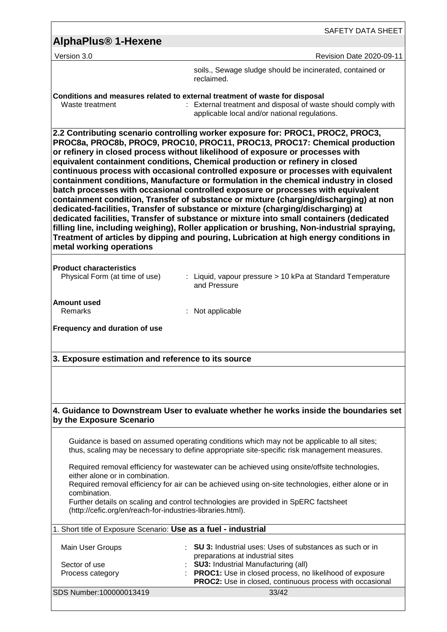SAFETY DATA SHEET

### **AlphaPlus® 1-Hexene**

Version 3.0 Revision Date 2020-09-11

soils., Sewage sludge should be incinerated, contained or reclaimed.

**Conditions and measures related to external treatment of waste for disposal**

Waste treatment : External treatment and disposal of waste should comply with applicable local and/or national regulations.

**2.2 Contributing scenario controlling worker exposure for: PROC1, PROC2, PROC3, PROC8a, PROC8b, PROC9, PROC10, PROC11, PROC13, PROC17: Chemical production or refinery in closed process without likelihood of exposure or processes with equivalent containment conditions, Chemical production or refinery in closed continuous process with occasional controlled exposure or processes with equivalent containment conditions, Manufacture or formulation in the chemical industry in closed batch processes with occasional controlled exposure or processes with equivalent containment condition, Transfer of substance or mixture (charging/discharging) at non dedicated-facilities, Transfer of substance or mixture (charging/discharging) at dedicated facilities, Transfer of substance or mixture into small containers (dedicated filling line, including weighing), Roller application or brushing, Non-industrial spraying, Treatment of articles by dipping and pouring, Lubrication at high energy conditions in metal working operations**

**Product characteristics**<br>Physical Form (at time of use)

 $\therefore$  Liquid, vapour pressure > 10 kPa at Standard Temperature and Pressure

**Amount used**

Remarks : Not applicable

**Frequency and duration of use**

#### **3. Exposure estimation and reference to its source**

#### **4. Guidance to Downstream User to evaluate whether he works inside the boundaries set by the Exposure Scenario**

Guidance is based on assumed operating conditions which may not be applicable to all sites; thus, scaling may be necessary to define appropriate site-specific risk management measures.

Required removal efficiency for wastewater can be achieved using onsite/offsite technologies, either alone or in combination.

Required removal efficiency for air can be achieved using on-site technologies, either alone or in combination.

Further details on scaling and control technologies are provided in SpERC factsheet (http://cefic.org/en/reach-for-industries-libraries.html).

| 1. Short title of Exposure Scenario: Use as a fuel - industrial |                                                                |  |
|-----------------------------------------------------------------|----------------------------------------------------------------|--|
|                                                                 |                                                                |  |
| Main User Groups                                                | : SU 3: Industrial uses: Uses of substances as such or in      |  |
|                                                                 | preparations at industrial sites                               |  |
| Sector of use                                                   | <b>SU3: Industrial Manufacturing (all)</b>                     |  |
| Process category                                                | <b>PROC1:</b> Use in closed process, no likelihood of exposure |  |
|                                                                 | PROC2: Use in closed, continuous process with occasional       |  |
| SDS Number: 100000013419                                        | 33/42                                                          |  |
|                                                                 |                                                                |  |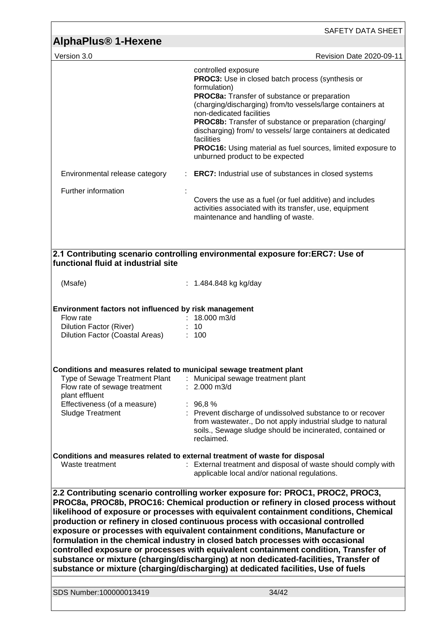|                                                                                                                                                                                                                                                                                                                                                                                                                                                                                                                                                                                                                                                                                                                                                                                      | SAFETY DATA SHEET                                                                                                                                                                                                                                                                                                                                                                                                                                                                          |
|--------------------------------------------------------------------------------------------------------------------------------------------------------------------------------------------------------------------------------------------------------------------------------------------------------------------------------------------------------------------------------------------------------------------------------------------------------------------------------------------------------------------------------------------------------------------------------------------------------------------------------------------------------------------------------------------------------------------------------------------------------------------------------------|--------------------------------------------------------------------------------------------------------------------------------------------------------------------------------------------------------------------------------------------------------------------------------------------------------------------------------------------------------------------------------------------------------------------------------------------------------------------------------------------|
| <b>AlphaPlus<sup>®</sup> 1-Hexene</b>                                                                                                                                                                                                                                                                                                                                                                                                                                                                                                                                                                                                                                                                                                                                                |                                                                                                                                                                                                                                                                                                                                                                                                                                                                                            |
| Version 3.0                                                                                                                                                                                                                                                                                                                                                                                                                                                                                                                                                                                                                                                                                                                                                                          | <b>Revision Date 2020-09-11</b>                                                                                                                                                                                                                                                                                                                                                                                                                                                            |
|                                                                                                                                                                                                                                                                                                                                                                                                                                                                                                                                                                                                                                                                                                                                                                                      | controlled exposure<br><b>PROC3:</b> Use in closed batch process (synthesis or<br>formulation)<br>PROC8a: Transfer of substance or preparation<br>(charging/discharging) from/to vessels/large containers at<br>non-dedicated facilities<br><b>PROC8b:</b> Transfer of substance or preparation (charging/<br>discharging) from/ to vessels/ large containers at dedicated<br>facilities<br>PROC16: Using material as fuel sources, limited exposure to<br>unburned product to be expected |
| Environmental release category                                                                                                                                                                                                                                                                                                                                                                                                                                                                                                                                                                                                                                                                                                                                                       | <b>ERC7:</b> Industrial use of substances in closed systems                                                                                                                                                                                                                                                                                                                                                                                                                                |
| Further information                                                                                                                                                                                                                                                                                                                                                                                                                                                                                                                                                                                                                                                                                                                                                                  |                                                                                                                                                                                                                                                                                                                                                                                                                                                                                            |
|                                                                                                                                                                                                                                                                                                                                                                                                                                                                                                                                                                                                                                                                                                                                                                                      | Covers the use as a fuel (or fuel additive) and includes<br>activities associated with its transfer, use, equipment<br>maintenance and handling of waste.                                                                                                                                                                                                                                                                                                                                  |
| functional fluid at industrial site                                                                                                                                                                                                                                                                                                                                                                                                                                                                                                                                                                                                                                                                                                                                                  | 2.1 Contributing scenario controlling environmental exposure for:ERC7: Use of                                                                                                                                                                                                                                                                                                                                                                                                              |
| (Msafe)                                                                                                                                                                                                                                                                                                                                                                                                                                                                                                                                                                                                                                                                                                                                                                              | : 1.484.848 kg kg/day                                                                                                                                                                                                                                                                                                                                                                                                                                                                      |
| Environment factors not influenced by risk management                                                                                                                                                                                                                                                                                                                                                                                                                                                                                                                                                                                                                                                                                                                                |                                                                                                                                                                                                                                                                                                                                                                                                                                                                                            |
| Flow rate                                                                                                                                                                                                                                                                                                                                                                                                                                                                                                                                                                                                                                                                                                                                                                            | $: 18.000 \text{ m}$ 3/d                                                                                                                                                                                                                                                                                                                                                                                                                                                                   |
| Dilution Factor (River)<br><b>Dilution Factor (Coastal Areas)</b>                                                                                                                                                                                                                                                                                                                                                                                                                                                                                                                                                                                                                                                                                                                    | 10<br>: 100                                                                                                                                                                                                                                                                                                                                                                                                                                                                                |
|                                                                                                                                                                                                                                                                                                                                                                                                                                                                                                                                                                                                                                                                                                                                                                                      | Conditions and measures related to municipal sewage treatment plant                                                                                                                                                                                                                                                                                                                                                                                                                        |
| Type of Sewage Treatment Plant<br>Flow rate of sewage treatment<br>plant effluent                                                                                                                                                                                                                                                                                                                                                                                                                                                                                                                                                                                                                                                                                                    | : Municipal sewage treatment plant<br>$2.000$ m $3/d$                                                                                                                                                                                                                                                                                                                                                                                                                                      |
| Effectiveness (of a measure)<br><b>Sludge Treatment</b>                                                                                                                                                                                                                                                                                                                                                                                                                                                                                                                                                                                                                                                                                                                              | : 96,8%<br>: Prevent discharge of undissolved substance to or recover<br>from wastewater., Do not apply industrial sludge to natural<br>soils., Sewage sludge should be incinerated, contained or<br>reclaimed.                                                                                                                                                                                                                                                                            |
| Waste treatment                                                                                                                                                                                                                                                                                                                                                                                                                                                                                                                                                                                                                                                                                                                                                                      | Conditions and measures related to external treatment of waste for disposal<br>: External treatment and disposal of waste should comply with<br>applicable local and/or national regulations.                                                                                                                                                                                                                                                                                              |
| 2.2 Contributing scenario controlling worker exposure for: PROC1, PROC2, PROC3,<br>PROC8a, PROC8b, PROC16: Chemical production or refinery in closed process without<br>likelihood of exposure or processes with equivalent containment conditions, Chemical<br>production or refinery in closed continuous process with occasional controlled<br>exposure or processes with equivalent containment conditions, Manufacture or<br>formulation in the chemical industry in closed batch processes with occasional<br>controlled exposure or processes with equivalent containment condition, Transfer of<br>substance or mixture (charging/discharging) at non dedicated-facilities, Transfer of<br>substance or mixture (charging/discharging) at dedicated facilities, Use of fuels |                                                                                                                                                                                                                                                                                                                                                                                                                                                                                            |
| SDS Number:100000013419                                                                                                                                                                                                                                                                                                                                                                                                                                                                                                                                                                                                                                                                                                                                                              | 34/42                                                                                                                                                                                                                                                                                                                                                                                                                                                                                      |
|                                                                                                                                                                                                                                                                                                                                                                                                                                                                                                                                                                                                                                                                                                                                                                                      |                                                                                                                                                                                                                                                                                                                                                                                                                                                                                            |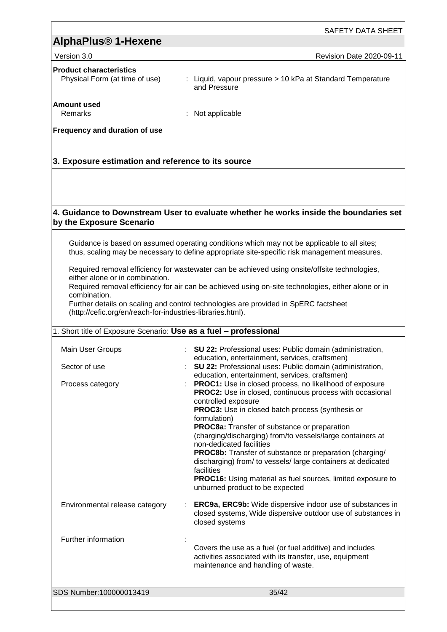|                                                                                                               | SAFETY DATA SHEET                                                                                                                                                                                                                                                                          |
|---------------------------------------------------------------------------------------------------------------|--------------------------------------------------------------------------------------------------------------------------------------------------------------------------------------------------------------------------------------------------------------------------------------------|
| <b>AlphaPlus<sup>®</sup> 1-Hexene</b>                                                                         |                                                                                                                                                                                                                                                                                            |
| Version 3.0                                                                                                   | Revision Date 2020-09-11                                                                                                                                                                                                                                                                   |
| <b>Product characteristics</b><br>Physical Form (at time of use)                                              | : Liquid, vapour pressure > 10 kPa at Standard Temperature<br>and Pressure                                                                                                                                                                                                                 |
| <b>Amount used</b><br>Remarks                                                                                 | : Not applicable                                                                                                                                                                                                                                                                           |
| Frequency and duration of use                                                                                 |                                                                                                                                                                                                                                                                                            |
| 3. Exposure estimation and reference to its source                                                            |                                                                                                                                                                                                                                                                                            |
| by the Exposure Scenario                                                                                      | 4. Guidance to Downstream User to evaluate whether he works inside the boundaries set                                                                                                                                                                                                      |
|                                                                                                               | Guidance is based on assumed operating conditions which may not be applicable to all sites;<br>thus, scaling may be necessary to define appropriate site-specific risk management measures.                                                                                                |
| either alone or in combination.<br>combination.<br>(http://cefic.org/en/reach-for-industries-libraries.html). | Required removal efficiency for wastewater can be achieved using onsite/offsite technologies,<br>Required removal efficiency for air can be achieved using on-site technologies, either alone or in<br>Further details on scaling and control technologies are provided in SpERC factsheet |
| 1. Short title of Exposure Scenario: Use as a fuel - professional                                             |                                                                                                                                                                                                                                                                                            |
| <b>Main User Groups</b>                                                                                       | SU 22: Professional uses: Public domain (administration,<br>education, entertainment, services, craftsmen)                                                                                                                                                                                 |
| Sector of use                                                                                                 | SU 22: Professional uses: Public domain (administration,<br>education, entertainment, services, craftsmen)                                                                                                                                                                                 |
| Process category                                                                                              | <b>PROC1:</b> Use in closed process, no likelihood of exposure<br><b>PROC2:</b> Use in closed, continuous process with occasional<br>controlled exposure                                                                                                                                   |
|                                                                                                               | <b>PROC3:</b> Use in closed batch process (synthesis or<br>formulation)<br>PROC8a: Transfer of substance or preparation                                                                                                                                                                    |
|                                                                                                               | (charging/discharging) from/to vessels/large containers at<br>non-dedicated facilities<br><b>PROC8b:</b> Transfer of substance or preparation (charging/                                                                                                                                   |
|                                                                                                               | discharging) from/ to vessels/large containers at dedicated<br>facilities<br>PROC16: Using material as fuel sources, limited exposure to<br>unburned product to be expected                                                                                                                |
| Environmental release category                                                                                | <b>ERC9a, ERC9b:</b> Wide dispersive indoor use of substances in<br>closed systems, Wide dispersive outdoor use of substances in<br>closed systems                                                                                                                                         |
| Further information                                                                                           |                                                                                                                                                                                                                                                                                            |
|                                                                                                               | Covers the use as a fuel (or fuel additive) and includes<br>activities associated with its transfer, use, equipment<br>maintenance and handling of waste.                                                                                                                                  |
| SDS Number: 100000013419                                                                                      | 35/42                                                                                                                                                                                                                                                                                      |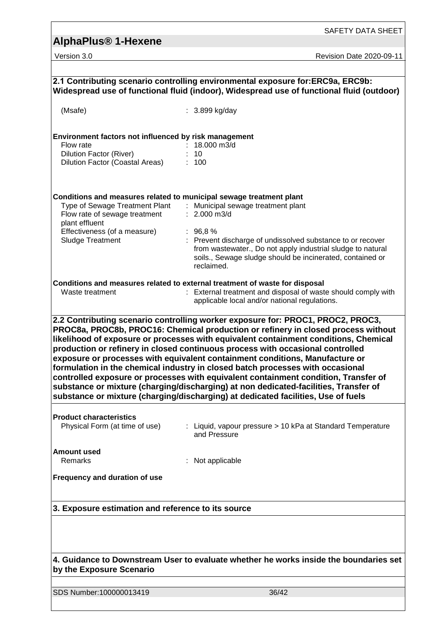SAFETY DATA SHEET

Version 3.0 Revision Date 2020-09-11

| 2.1 Contributing scenario controlling environmental exposure for:ERC9a, ERC9b:<br>Widespread use of functional fluid (indoor), Widespread use of functional fluid (outdoor) |                                                                                                                                                                                                                                                                                                                                                                                                                                                                                                                      |  |
|-----------------------------------------------------------------------------------------------------------------------------------------------------------------------------|----------------------------------------------------------------------------------------------------------------------------------------------------------------------------------------------------------------------------------------------------------------------------------------------------------------------------------------------------------------------------------------------------------------------------------------------------------------------------------------------------------------------|--|
| (Msafe)                                                                                                                                                                     | : 3.899 kg/day                                                                                                                                                                                                                                                                                                                                                                                                                                                                                                       |  |
| Environment factors not influenced by risk management<br>Flow rate                                                                                                          | 18.000 m3/d                                                                                                                                                                                                                                                                                                                                                                                                                                                                                                          |  |
| <b>Dilution Factor (River)</b>                                                                                                                                              | 10                                                                                                                                                                                                                                                                                                                                                                                                                                                                                                                   |  |
| Dilution Factor (Coastal Areas)                                                                                                                                             | : 100                                                                                                                                                                                                                                                                                                                                                                                                                                                                                                                |  |
| Conditions and measures related to municipal sewage treatment plant                                                                                                         |                                                                                                                                                                                                                                                                                                                                                                                                                                                                                                                      |  |
| Type of Sewage Treatment Plant<br>-11<br>Flow rate of sewage treatment<br>÷<br>plant effluent                                                                               | Municipal sewage treatment plant<br>$2.000$ m $3/d$                                                                                                                                                                                                                                                                                                                                                                                                                                                                  |  |
| Effectiveness (of a measure)                                                                                                                                                | : 96,8%                                                                                                                                                                                                                                                                                                                                                                                                                                                                                                              |  |
| <b>Sludge Treatment</b>                                                                                                                                                     | : Prevent discharge of undissolved substance to or recover<br>from wastewater., Do not apply industrial sludge to natural<br>soils., Sewage sludge should be incinerated, contained or<br>reclaimed.                                                                                                                                                                                                                                                                                                                 |  |
| Waste treatment                                                                                                                                                             | Conditions and measures related to external treatment of waste for disposal<br>: External treatment and disposal of waste should comply with<br>applicable local and/or national regulations.                                                                                                                                                                                                                                                                                                                        |  |
|                                                                                                                                                                             | production or refinery in closed continuous process with occasional controlled<br>exposure or processes with equivalent containment conditions, Manufacture or<br>formulation in the chemical industry in closed batch processes with occasional<br>controlled exposure or processes with equivalent containment condition, Transfer of<br>substance or mixture (charging/discharging) at non dedicated-facilities, Transfer of<br>substance or mixture (charging/discharging) at dedicated facilities, Use of fuels |  |
|                                                                                                                                                                             |                                                                                                                                                                                                                                                                                                                                                                                                                                                                                                                      |  |
| <b>Product characteristics</b><br>Physical Form (at time of use)                                                                                                            | Liquid, vapour pressure > 10 kPa at Standard Temperature<br>and Pressure                                                                                                                                                                                                                                                                                                                                                                                                                                             |  |
| <b>Amount used</b>                                                                                                                                                          |                                                                                                                                                                                                                                                                                                                                                                                                                                                                                                                      |  |
| Remarks                                                                                                                                                                     | Not applicable                                                                                                                                                                                                                                                                                                                                                                                                                                                                                                       |  |
| <b>Frequency and duration of use</b>                                                                                                                                        |                                                                                                                                                                                                                                                                                                                                                                                                                                                                                                                      |  |
| 3. Exposure estimation and reference to its source                                                                                                                          |                                                                                                                                                                                                                                                                                                                                                                                                                                                                                                                      |  |
|                                                                                                                                                                             |                                                                                                                                                                                                                                                                                                                                                                                                                                                                                                                      |  |
| 4. Guidance to Downstream User to evaluate whether he works inside the boundaries set<br>by the Exposure Scenario                                                           |                                                                                                                                                                                                                                                                                                                                                                                                                                                                                                                      |  |
|                                                                                                                                                                             |                                                                                                                                                                                                                                                                                                                                                                                                                                                                                                                      |  |
| SDS Number:100000013419                                                                                                                                                     | 36/42                                                                                                                                                                                                                                                                                                                                                                                                                                                                                                                |  |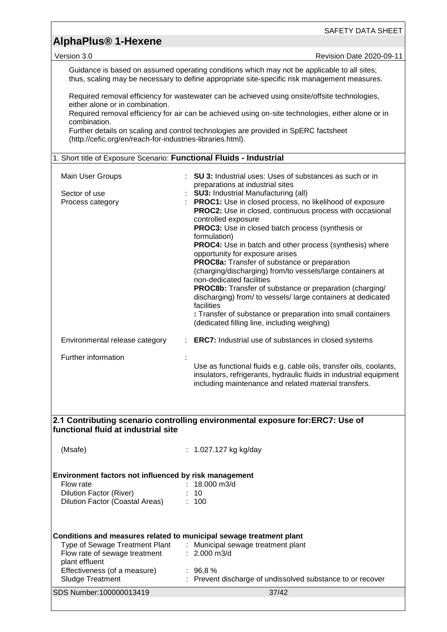|                                                                                   | SAFETY DATA SHEET                                                                                                                                                                                                                    |
|-----------------------------------------------------------------------------------|--------------------------------------------------------------------------------------------------------------------------------------------------------------------------------------------------------------------------------------|
| <b>AlphaPlus<sup>®</sup> 1-Hexene</b>                                             |                                                                                                                                                                                                                                      |
| Version 3.0                                                                       | Revision Date 2020-09-11                                                                                                                                                                                                             |
|                                                                                   | Guidance is based on assumed operating conditions which may not be applicable to all sites;<br>thus, scaling may be necessary to define appropriate site-specific risk management measures.                                          |
| either alone or in combination.                                                   | Required removal efficiency for wastewater can be achieved using onsite/offsite technologies,                                                                                                                                        |
| combination.                                                                      | Required removal efficiency for air can be achieved using on-site technologies, either alone or in<br>Further details on scaling and control technologies are provided in SpERC factsheet                                            |
| (http://cefic.org/en/reach-for-industries-libraries.html).                        |                                                                                                                                                                                                                                      |
| 1. Short title of Exposure Scenario: Functional Fluids - Industrial               |                                                                                                                                                                                                                                      |
| Main User Groups<br>Sector of use<br>Process category                             | <b>SU 3:</b> Industrial uses: Uses of substances as such or in<br>preparations at industrial sites<br><b>SU3: Industrial Manufacturing (all)</b><br>PROC1: Use in closed process, no likelihood of exposure                          |
|                                                                                   | <b>PROC2:</b> Use in closed, continuous process with occasional<br>controlled exposure<br>PROC3: Use in closed batch process (synthesis or<br>formulation)<br><b>PROC4:</b> Use in batch and other process (synthesis) where         |
|                                                                                   | opportunity for exposure arises<br>PROC8a: Transfer of substance or preparation<br>(charging/discharging) from/to vessels/large containers at<br>non-dedicated facilities<br>PROC8b: Transfer of substance or preparation (charging/ |
|                                                                                   | discharging) from/ to vessels/ large containers at dedicated<br>facilities<br>: Transfer of substance or preparation into small containers<br>(dedicated filling line, including weighing)                                           |
|                                                                                   |                                                                                                                                                                                                                                      |
| Environmental release category                                                    | <b>ERC7:</b> Industrial use of substances in closed systems                                                                                                                                                                          |
| Further information                                                               | Use as functional fluids e.g. cable oils, transfer oils, coolants,<br>insulators, refrigerants, hydraulic fluids in industrial equipment<br>including maintenance and related material transfers.                                    |
|                                                                                   | 2.1 Contributing scenario controlling environmental exposure for:ERC7: Use of                                                                                                                                                        |
| functional fluid at industrial site                                               |                                                                                                                                                                                                                                      |
| (Msafe)                                                                           | : 1.027.127 kg kg/day                                                                                                                                                                                                                |
| Environment factors not influenced by risk management                             |                                                                                                                                                                                                                                      |
| Flow rate<br><b>Dilution Factor (River)</b>                                       | 18.000 m3/d<br>10                                                                                                                                                                                                                    |
| Dilution Factor (Coastal Areas)                                                   | : 100                                                                                                                                                                                                                                |
| Conditions and measures related to municipal sewage treatment plant               |                                                                                                                                                                                                                                      |
| Type of Sewage Treatment Plant<br>Flow rate of sewage treatment<br>plant effluent | : Municipal sewage treatment plant<br>$: 2.000 \text{ m}$ 3/d                                                                                                                                                                        |
| Effectiveness (of a measure)<br><b>Sludge Treatment</b>                           | : 96,8%<br>Prevent discharge of undissolved substance to or recover                                                                                                                                                                  |
| SDS Number: 100000013419                                                          | 37/42                                                                                                                                                                                                                                |

<u> 1980 - Andrea Station Barbara, actor a contrador de la contrador de la contrador de la contrador de la contra</u>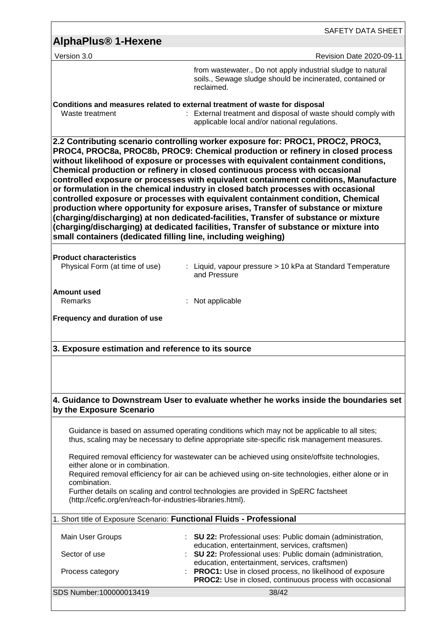| <b>AlphaPlus<sup>®</sup> 1-Hexene</b>                                                                                                                                                                                                  |                                                                                                                                                                                                                                                                                                                                                                                                                                                                                                                                                                                                                                                                                                                                                                                                                                                                                   |  |
|----------------------------------------------------------------------------------------------------------------------------------------------------------------------------------------------------------------------------------------|-----------------------------------------------------------------------------------------------------------------------------------------------------------------------------------------------------------------------------------------------------------------------------------------------------------------------------------------------------------------------------------------------------------------------------------------------------------------------------------------------------------------------------------------------------------------------------------------------------------------------------------------------------------------------------------------------------------------------------------------------------------------------------------------------------------------------------------------------------------------------------------|--|
| Version 3.0                                                                                                                                                                                                                            | Revision Date 2020-09-11                                                                                                                                                                                                                                                                                                                                                                                                                                                                                                                                                                                                                                                                                                                                                                                                                                                          |  |
|                                                                                                                                                                                                                                        | from wastewater., Do not apply industrial sludge to natural<br>soils., Sewage sludge should be incinerated, contained or<br>reclaimed.                                                                                                                                                                                                                                                                                                                                                                                                                                                                                                                                                                                                                                                                                                                                            |  |
| Waste treatment                                                                                                                                                                                                                        | Conditions and measures related to external treatment of waste for disposal<br>External treatment and disposal of waste should comply with<br>applicable local and/or national regulations.                                                                                                                                                                                                                                                                                                                                                                                                                                                                                                                                                                                                                                                                                       |  |
| small containers (dedicated filling line, including weighing)                                                                                                                                                                          | 2.2 Contributing scenario controlling worker exposure for: PROC1, PROC2, PROC3,<br>PROC4, PROC8a, PROC8b, PROC9: Chemical production or refinery in closed process<br>without likelihood of exposure or processes with equivalent containment conditions,<br>Chemical production or refinery in closed continuous process with occasional<br>controlled exposure or processes with equivalent containment conditions, Manufacture<br>or formulation in the chemical industry in closed batch processes with occasional<br>controlled exposure or processes with equivalent containment condition, Chemical<br>production where opportunity for exposure arises, Transfer of substance or mixture<br>(charging/discharging) at non dedicated-facilities, Transfer of substance or mixture<br>(charging/discharging) at dedicated facilities, Transfer of substance or mixture into |  |
| <b>Product characteristics</b><br>Physical Form (at time of use)                                                                                                                                                                       | : Liquid, vapour pressure > 10 kPa at Standard Temperature<br>and Pressure                                                                                                                                                                                                                                                                                                                                                                                                                                                                                                                                                                                                                                                                                                                                                                                                        |  |
| <b>Amount used</b><br>Remarks                                                                                                                                                                                                          | Not applicable                                                                                                                                                                                                                                                                                                                                                                                                                                                                                                                                                                                                                                                                                                                                                                                                                                                                    |  |
| Frequency and duration of use<br>3. Exposure estimation and reference to its source                                                                                                                                                    |                                                                                                                                                                                                                                                                                                                                                                                                                                                                                                                                                                                                                                                                                                                                                                                                                                                                                   |  |
| by the Exposure Scenario                                                                                                                                                                                                               | 4. Guidance to Downstream User to evaluate whether he works inside the boundaries set                                                                                                                                                                                                                                                                                                                                                                                                                                                                                                                                                                                                                                                                                                                                                                                             |  |
|                                                                                                                                                                                                                                        | Guidance is based on assumed operating conditions which may not be applicable to all sites;<br>thus, scaling may be necessary to define appropriate site-specific risk management measures.                                                                                                                                                                                                                                                                                                                                                                                                                                                                                                                                                                                                                                                                                       |  |
| Required removal efficiency for wastewater can be achieved using onsite/offsite technologies,<br>either alone or in combination.<br>Required removal efficiency for air can be achieved using on-site technologies, either alone or in |                                                                                                                                                                                                                                                                                                                                                                                                                                                                                                                                                                                                                                                                                                                                                                                                                                                                                   |  |
| combination.<br>(http://cefic.org/en/reach-for-industries-libraries.html).                                                                                                                                                             | Further details on scaling and control technologies are provided in SpERC factsheet                                                                                                                                                                                                                                                                                                                                                                                                                                                                                                                                                                                                                                                                                                                                                                                               |  |
| 1. Short title of Exposure Scenario: Functional Fluids - Professional                                                                                                                                                                  |                                                                                                                                                                                                                                                                                                                                                                                                                                                                                                                                                                                                                                                                                                                                                                                                                                                                                   |  |
| Main User Groups<br>Sector of use                                                                                                                                                                                                      | <b>SU 22: Professional uses: Public domain (administration,</b><br>education, entertainment, services, craftsmen)<br>: SU 22: Professional uses: Public domain (administration,                                                                                                                                                                                                                                                                                                                                                                                                                                                                                                                                                                                                                                                                                                   |  |
| Process category                                                                                                                                                                                                                       | education, entertainment, services, craftsmen)<br><b>PROC1:</b> Use in closed process, no likelihood of exposure<br><b>PROC2:</b> Use in closed, continuous process with occasional                                                                                                                                                                                                                                                                                                                                                                                                                                                                                                                                                                                                                                                                                               |  |
| SDS Number:100000013419                                                                                                                                                                                                                | 38/42                                                                                                                                                                                                                                                                                                                                                                                                                                                                                                                                                                                                                                                                                                                                                                                                                                                                             |  |

SAFETY DATA SHEET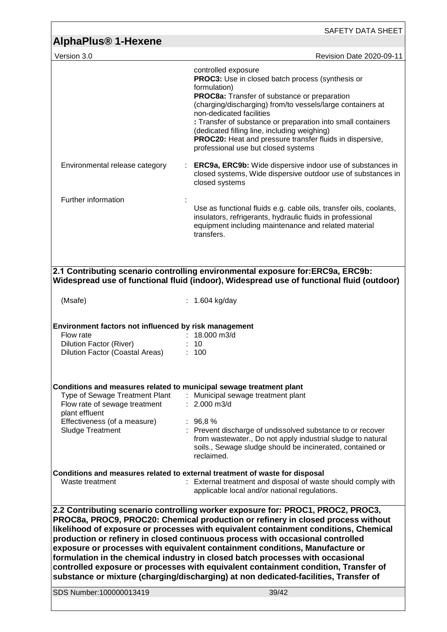|                                                                                                                                                                                                                                                                                                                                                                                                                                                                                                                                                                                                                                                                                                | SAFETY DATA SHEET                                                                                                                                                                                                                                                                                                                                                                                                                                                  |
|------------------------------------------------------------------------------------------------------------------------------------------------------------------------------------------------------------------------------------------------------------------------------------------------------------------------------------------------------------------------------------------------------------------------------------------------------------------------------------------------------------------------------------------------------------------------------------------------------------------------------------------------------------------------------------------------|--------------------------------------------------------------------------------------------------------------------------------------------------------------------------------------------------------------------------------------------------------------------------------------------------------------------------------------------------------------------------------------------------------------------------------------------------------------------|
| <b>AlphaPlus<sup>®</sup> 1-Hexene</b>                                                                                                                                                                                                                                                                                                                                                                                                                                                                                                                                                                                                                                                          |                                                                                                                                                                                                                                                                                                                                                                                                                                                                    |
| Version 3.0                                                                                                                                                                                                                                                                                                                                                                                                                                                                                                                                                                                                                                                                                    | Revision Date 2020-09-11                                                                                                                                                                                                                                                                                                                                                                                                                                           |
|                                                                                                                                                                                                                                                                                                                                                                                                                                                                                                                                                                                                                                                                                                | controlled exposure<br><b>PROC3:</b> Use in closed batch process (synthesis or<br>formulation)<br>PROC8a: Transfer of substance or preparation<br>(charging/discharging) from/to vessels/large containers at<br>non-dedicated facilities<br>: Transfer of substance or preparation into small containers<br>(dedicated filling line, including weighing)<br><b>PROC20:</b> Heat and pressure transfer fluids in dispersive,<br>professional use but closed systems |
| Environmental release category                                                                                                                                                                                                                                                                                                                                                                                                                                                                                                                                                                                                                                                                 | <b>ERC9a, ERC9b:</b> Wide dispersive indoor use of substances in<br>closed systems, Wide dispersive outdoor use of substances in<br>closed systems                                                                                                                                                                                                                                                                                                                 |
| Further information                                                                                                                                                                                                                                                                                                                                                                                                                                                                                                                                                                                                                                                                            |                                                                                                                                                                                                                                                                                                                                                                                                                                                                    |
|                                                                                                                                                                                                                                                                                                                                                                                                                                                                                                                                                                                                                                                                                                | Use as functional fluids e.g. cable oils, transfer oils, coolants,<br>insulators, refrigerants, hydraulic fluids in professional<br>equipment including maintenance and related material<br>transfers.                                                                                                                                                                                                                                                             |
| (Msafe)                                                                                                                                                                                                                                                                                                                                                                                                                                                                                                                                                                                                                                                                                        | 2.1 Contributing scenario controlling environmental exposure for:ERC9a, ERC9b:<br>Widespread use of functional fluid (indoor), Widespread use of functional fluid (outdoor)<br>$: 1.604$ kg/day                                                                                                                                                                                                                                                                    |
| Environment factors not influenced by risk management                                                                                                                                                                                                                                                                                                                                                                                                                                                                                                                                                                                                                                          |                                                                                                                                                                                                                                                                                                                                                                                                                                                                    |
| Flow rate                                                                                                                                                                                                                                                                                                                                                                                                                                                                                                                                                                                                                                                                                      | 18,000 m3/d                                                                                                                                                                                                                                                                                                                                                                                                                                                        |
| Dilution Factor (River)<br>Dilution Factor (Coastal Areas)                                                                                                                                                                                                                                                                                                                                                                                                                                                                                                                                                                                                                                     | 10<br>: 100                                                                                                                                                                                                                                                                                                                                                                                                                                                        |
| Conditions and measures related to municipal sewage treatment plant<br>Type of Sewage Treatment Plant<br>Flow rate of sewage treatment                                                                                                                                                                                                                                                                                                                                                                                                                                                                                                                                                         | Municipal sewage treatment plant<br>$2.000 \text{ m}$ 3/d                                                                                                                                                                                                                                                                                                                                                                                                          |
| plant effluent<br>Effectiveness (of a measure)<br><b>Sludge Treatment</b>                                                                                                                                                                                                                                                                                                                                                                                                                                                                                                                                                                                                                      | : 96.8%<br>: Prevent discharge of undissolved substance to or recover<br>from wastewater., Do not apply industrial sludge to natural<br>soils., Sewage sludge should be incinerated, contained or<br>reclaimed.                                                                                                                                                                                                                                                    |
| Waste treatment                                                                                                                                                                                                                                                                                                                                                                                                                                                                                                                                                                                                                                                                                | Conditions and measures related to external treatment of waste for disposal<br>: External treatment and disposal of waste should comply with<br>applicable local and/or national regulations.                                                                                                                                                                                                                                                                      |
| 2.2 Contributing scenario controlling worker exposure for: PROC1, PROC2, PROC3,<br>PROC8a, PROC9, PROC20: Chemical production or refinery in closed process without<br>likelihood of exposure or processes with equivalent containment conditions, Chemical<br>production or refinery in closed continuous process with occasional controlled<br>exposure or processes with equivalent containment conditions, Manufacture or<br>formulation in the chemical industry in closed batch processes with occasional<br>controlled exposure or processes with equivalent containment condition, Transfer of<br>substance or mixture (charging/discharging) at non dedicated-facilities, Transfer of |                                                                                                                                                                                                                                                                                                                                                                                                                                                                    |
| SDS Number:100000013419                                                                                                                                                                                                                                                                                                                                                                                                                                                                                                                                                                                                                                                                        | 39/42                                                                                                                                                                                                                                                                                                                                                                                                                                                              |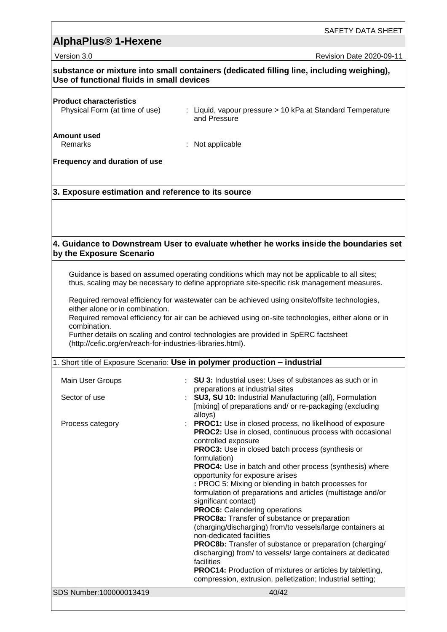Version 3.0 **New Search 2020-09-11** Revision Date 2020-09-11

SAFETY DATA SHEET

### **substance or mixture into small containers (dedicated filling line, including weighing), Use of functional fluids in small devices**

#### **Product characteristics**

Physical Form (at time of use) : Liquid, vapour pressure > 10 kPa at Standard Temperature and Pressure

# **Amount used**

: Not applicable

**Frequency and duration of use**

**3. Exposure estimation and reference to its source**

#### **4. Guidance to Downstream User to evaluate whether he works inside the boundaries set by the Exposure Scenario**

Guidance is based on assumed operating conditions which may not be applicable to all sites; thus, scaling may be necessary to define appropriate site-specific risk management measures.

Required removal efficiency for wastewater can be achieved using onsite/offsite technologies, either alone or in combination.

Required removal efficiency for air can be achieved using on-site technologies, either alone or in combination.

Further details on scaling and control technologies are provided in SpERC factsheet (http://cefic.org/en/reach-for-industries-libraries.html).

#### 1. Short title of Exposure Scenario: **Use in polymer production – industrial**

| Main User Groups<br>Sector of use | : SU 3: Industrial uses: Uses of substances as such or in<br>preparations at industrial sites<br>: SU3, SU 10: Industrial Manufacturing (all), Formulation<br>[mixing] of preparations and/ or re-packaging (excluding<br>alloys)                                                                                                                                                                                                                                                                                                                                                                                                                                                                                                                                                                                                                                                                                                                          |
|-----------------------------------|------------------------------------------------------------------------------------------------------------------------------------------------------------------------------------------------------------------------------------------------------------------------------------------------------------------------------------------------------------------------------------------------------------------------------------------------------------------------------------------------------------------------------------------------------------------------------------------------------------------------------------------------------------------------------------------------------------------------------------------------------------------------------------------------------------------------------------------------------------------------------------------------------------------------------------------------------------|
| Process category                  | <b>PROC1:</b> Use in closed process, no likelihood of exposure<br><b>PROC2:</b> Use in closed, continuous process with occasional<br>controlled exposure<br><b>PROC3:</b> Use in closed batch process (synthesis or<br>formulation)<br><b>PROC4:</b> Use in batch and other process (synthesis) where<br>opportunity for exposure arises<br>: PROC 5: Mixing or blending in batch processes for<br>formulation of preparations and articles (multistage and/or<br>significant contact)<br><b>PROC6:</b> Calendering operations<br>PROC8a: Transfer of substance or preparation<br>(charging/discharging) from/to vessels/large containers at<br>non-dedicated facilities<br><b>PROC8b:</b> Transfer of substance or preparation (charging/<br>discharging) from/ to vessels/ large containers at dedicated<br>facilities<br><b>PROC14:</b> Production of mixtures or articles by tabletting,<br>compression, extrusion, pelletization; Industrial setting; |
| SDS Number: 100000013419          | 40/42                                                                                                                                                                                                                                                                                                                                                                                                                                                                                                                                                                                                                                                                                                                                                                                                                                                                                                                                                      |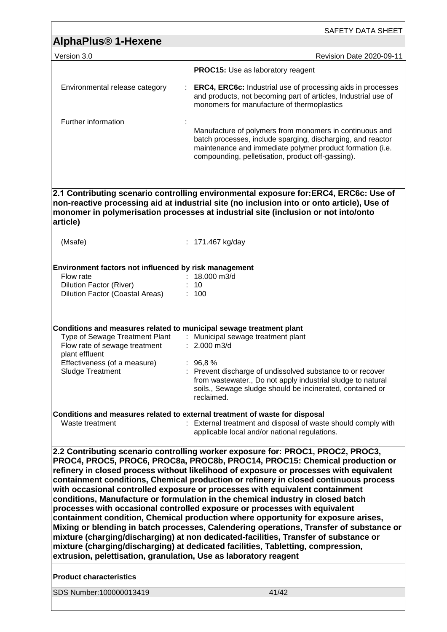|                                                                                                                                                                                                                                                                                                                                                                                                                                                                                                                                                                                                                                                                                                                                                                                                                                                                                                                                                                                                                                   | SAFETY DATA SHEET                                                                                                                                                                                                                                                        |
|-----------------------------------------------------------------------------------------------------------------------------------------------------------------------------------------------------------------------------------------------------------------------------------------------------------------------------------------------------------------------------------------------------------------------------------------------------------------------------------------------------------------------------------------------------------------------------------------------------------------------------------------------------------------------------------------------------------------------------------------------------------------------------------------------------------------------------------------------------------------------------------------------------------------------------------------------------------------------------------------------------------------------------------|--------------------------------------------------------------------------------------------------------------------------------------------------------------------------------------------------------------------------------------------------------------------------|
| <b>AlphaPlus<sup>®</sup> 1-Hexene</b>                                                                                                                                                                                                                                                                                                                                                                                                                                                                                                                                                                                                                                                                                                                                                                                                                                                                                                                                                                                             |                                                                                                                                                                                                                                                                          |
| Version 3.0                                                                                                                                                                                                                                                                                                                                                                                                                                                                                                                                                                                                                                                                                                                                                                                                                                                                                                                                                                                                                       | Revision Date 2020-09-11                                                                                                                                                                                                                                                 |
|                                                                                                                                                                                                                                                                                                                                                                                                                                                                                                                                                                                                                                                                                                                                                                                                                                                                                                                                                                                                                                   | <b>PROC15:</b> Use as laboratory reagent                                                                                                                                                                                                                                 |
| Environmental release category                                                                                                                                                                                                                                                                                                                                                                                                                                                                                                                                                                                                                                                                                                                                                                                                                                                                                                                                                                                                    | <b>ERC4, ERC6c:</b> Industrial use of processing aids in processes<br>and products, not becoming part of articles, Industrial use of<br>monomers for manufacture of thermoplastics                                                                                       |
| Further information                                                                                                                                                                                                                                                                                                                                                                                                                                                                                                                                                                                                                                                                                                                                                                                                                                                                                                                                                                                                               | Manufacture of polymers from monomers in continuous and<br>batch processes, include sparging, discharging, and reactor<br>maintenance and immediate polymer product formation (i.e.<br>compounding, pelletisation, product off-gassing).                                 |
| article)                                                                                                                                                                                                                                                                                                                                                                                                                                                                                                                                                                                                                                                                                                                                                                                                                                                                                                                                                                                                                          | 2.1 Contributing scenario controlling environmental exposure for:ERC4, ERC6c: Use of<br>non-reactive processing aid at industrial site (no inclusion into or onto article), Use of<br>monomer in polymerisation processes at industrial site (inclusion or not into/onto |
| (Msafe)                                                                                                                                                                                                                                                                                                                                                                                                                                                                                                                                                                                                                                                                                                                                                                                                                                                                                                                                                                                                                           | : 171.467 kg/day                                                                                                                                                                                                                                                         |
| Environment factors not influenced by risk management<br>Flow rate<br><b>Dilution Factor (River)</b><br><b>Dilution Factor (Coastal Areas)</b>                                                                                                                                                                                                                                                                                                                                                                                                                                                                                                                                                                                                                                                                                                                                                                                                                                                                                    | 18.000 m3/d<br>: 10<br>: 100                                                                                                                                                                                                                                             |
| Conditions and measures related to municipal sewage treatment plant<br>Type of Sewage Treatment Plant : Municipal sewage treatment plant<br>Flow rate of sewage treatment<br>plant effluent                                                                                                                                                                                                                                                                                                                                                                                                                                                                                                                                                                                                                                                                                                                                                                                                                                       | $: 2.000 \text{ m}3/d$                                                                                                                                                                                                                                                   |
| Effectiveness (of a measure) : 96,8 %<br>Sludge Treatment                                                                                                                                                                                                                                                                                                                                                                                                                                                                                                                                                                                                                                                                                                                                                                                                                                                                                                                                                                         | Prevent discharge of undissolved substance to or recover<br>from wastewater., Do not apply industrial sludge to natural<br>soils., Sewage sludge should be incinerated, contained or<br>reclaimed.                                                                       |
| Waste treatment                                                                                                                                                                                                                                                                                                                                                                                                                                                                                                                                                                                                                                                                                                                                                                                                                                                                                                                                                                                                                   | Conditions and measures related to external treatment of waste for disposal<br>: External treatment and disposal of waste should comply with<br>applicable local and/or national regulations.                                                                            |
| 2.2 Contributing scenario controlling worker exposure for: PROC1, PROC2, PROC3,<br>PROC4, PROC5, PROC6, PROC8a, PROC8b, PROC14, PROC15: Chemical production or<br>refinery in closed process without likelihood of exposure or processes with equivalent<br>containment conditions, Chemical production or refinery in closed continuous process<br>with occasional controlled exposure or processes with equivalent containment<br>conditions, Manufacture or formulation in the chemical industry in closed batch<br>processes with occasional controlled exposure or processes with equivalent<br>containment condition, Chemical production where opportunity for exposure arises,<br>Mixing or blending in batch processes, Calendering operations, Transfer of substance or<br>mixture (charging/discharging) at non dedicated-facilities, Transfer of substance or<br>mixture (charging/discharging) at dedicated facilities, Tabletting, compression,<br>extrusion, pelettisation, granulation, Use as laboratory reagent |                                                                                                                                                                                                                                                                          |
| <b>Product characteristics</b>                                                                                                                                                                                                                                                                                                                                                                                                                                                                                                                                                                                                                                                                                                                                                                                                                                                                                                                                                                                                    |                                                                                                                                                                                                                                                                          |
| SDS Number:100000013419                                                                                                                                                                                                                                                                                                                                                                                                                                                                                                                                                                                                                                                                                                                                                                                                                                                                                                                                                                                                           | 41/42                                                                                                                                                                                                                                                                    |
|                                                                                                                                                                                                                                                                                                                                                                                                                                                                                                                                                                                                                                                                                                                                                                                                                                                                                                                                                                                                                                   |                                                                                                                                                                                                                                                                          |

<u> 1989 - Johann Barnett, fransk politiker (d. 1989)</u>

 $\overline{\phantom{0}}$